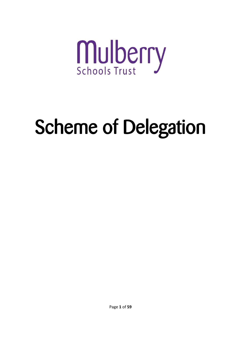

# Scheme of Delegation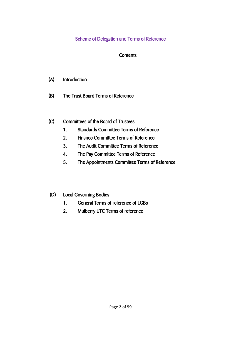# Scheme of Delegation and Terms of Reference

# **Contents**

- (A) Introduction
- (B) The Trust Board Terms of Reference
- (C) Committees of the Board of Trustees
	- 1. Standards Committee Terms of Reference
	- 2. Finance Committee Terms of Reference
	- 3. The Audit Committee Terms of Reference
	- 4. The Pay Committee Terms of Reference
	- 5. The Appointments Committee Terms of Reference
- (D) Local Governing Bodies
	- 1. General Terms of reference of LGBs
	- 2. Mulberry UTC Terms of reference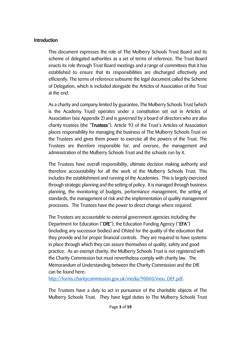#### Introduction

This document expresses the role of The Mulberry Schools Trust Board and its scheme of delegated authorities as a set of terms of reference. The Trust Board enacts its role through Trust Board meetings and a range of committees that it has established to ensure that its responsibilities are discharged effectively and efficiently. The terms of reference subsume the legal document called the Scheme of Delegation, which is included alongside the Articles of Association of the Trust at the end.

As a charity and company limited by guarantee, The Mulberry Schools Trust (which is the Academy Trust) operates under a constitution set out in Articles of Association (see Appendix 2) and is governed by a board of directors who are also charity trustees (the "Trustees"). Article 93 of the Trust's Articles of Association places responsibility for managing the business of The Mulberry Schools Trust on the Trustees and gives them power to exercise all the powers of the Trust. The Trustees are therefore responsible for, and oversee, the management and administration of the Mulberry Schools Trust and the schools run by it.

The Trustees have overall responsibility, ultimate decision making authority and therefore accountability for all the work of the Mulberry Schools Trust. This includes the establishment and running of the Academies. This is largely exercised through strategic planning and the setting of policy. It is managed through business planning, the monitoring of budgets, performance management, the setting of standards, the management of risk and the implementation of quality management processes. The Trustees have the power to direct change where required.

The Trustees are accountable to external government agencies including the Department for Education ("DfE"), the Education Funding Agency ("EFA") (including any successor bodies) and Ofsted for the quality of the education that they provide and for proper financial controls. They are required to have systems in place through which they can assure themselves of quality, safety and good practice. As an exempt charity, the Mulberry Schools Trust is not registered with the Charity Commission but must nevertheless comply with charity law. The Memorandum of Understanding between the Charity Commission and the DfE can be found here:

[http://forms.charitycommission.gov.uk/media/90060/mou\\_DEF.pdf.](http://forms.charitycommission.gov.uk/media/90060/mou_DEF.pdf)

The Trustees have a duty to act in pursuance of the charitable objects of The Mulberry Schools Trust. They have legal duties to The Mulberry Schools Trust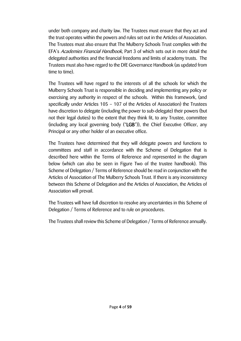under both company and charity law. The Trustees must ensure that they act and the trust operates within the powers and rules set out in the Articles of Association. The Trustees must also ensure that The Mulberry Schools Trust complies with the EFA's Academies Financial Handbook, Part 3 of which sets out in more detail the delegated authorities and the financial freedoms and limits of academy trusts. The Trustees must also have regard to the DfE Governance Handbook (as updated from time to time).

The Trustees will have regard to the interests of all the schools for which the Mulberry Schools Trust is responsible in deciding and implementing any policy or exercising any authority in respect of the schools. Within this framework, (and specifically under Articles 105 – 107 of the Articles of Association) the Trustees have discretion to delegate (including the power to sub-delegate) their powers (but not their legal duties) to the extent that they think fit, to any Trustee, committee (including any local governing body ("LGB")), the Chief Executive Officer, any Principal or any other holder of an executive office.

The Trustees have determined that they will delegate powers and functions to committees and staff in accordance with the Scheme of Delegation that is described here within the Terms of Reference and represented in the diagram below (which can also be seen in Figure Two of the trustee handbook). This Scheme of Delegation / Terms of Reference should be read in conjunction with the Articles of Association of The Mulberry Schools Trust. If there is any inconsistency between this Scheme of Delegation and the Articles of Association, the Articles of Association will prevail.

The Trustees will have full discretion to resolve any uncertainties in this Scheme of Delegation / Terms of Reference and to rule on procedures.

The Trustees shall review this Scheme of Delegation / Terms of Reference annually.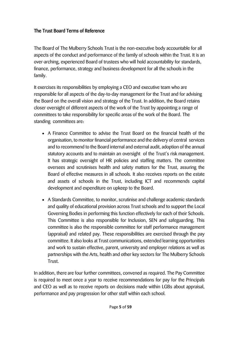# The Trust Board Terms of Reference

The Board of The Mulberry Schools Trust is the non-executive body accountable for all aspects of the conduct and performance of the family of schools within the Trust. It is an over-arching, experienced Board of trustees who will hold accountability for standards, finance, performance, strategy and business development for all the schools in the family.

It exercises its responsibilities by employing a CEO and executive team who are responsible for all aspects of the day-to-day management for the Trust and for advising the Board on the overall vision and strategy of the Trust. In addition, the Board retains closer oversight of different aspects of the work of the Trust by appointing a range of committees to take responsibility for specific areas of the work of the Board. The standing committees are:

- A Finance Committee to advise the Trust Board on the financial health of the organisation, to monitor financial performance and the delivery of central services and to recommend to the Board internal and external audit, adoption of the annual statutory accounts and to maintain an oversight of the Trust's risk management. It has strategic oversight of HR policies and staffing matters. The committee oversees and scrutinises health and safety matters for the Trust, assuring the Board of effective measures in all schools. It also receives reports on the estate and assets of schools in the Trust, including ICT and recommends capital development and expenditure on upkeep to the Board.
- A Standards Committee, to monitor, scrutinise and challenge academic standards and quality of educational provision across Trust schools and to support the Local Governing Bodies in performing this function effectively for each of their Schools. This Committee is also responsible for Inclusion, SEN and safeguarding. This committee is also the responsible committee for staff performance management (appraisal) and related pay. These responsibilities are exercised through the pay committee. It also looks at Trust communications, extended learning opportunities and work to sustain effective, parent, university and employer relations as well as partnerships with the Arts, health and other key sectors for The Mulberry Schools Trust.

In addition, there are four further committees, convened as required. The Pay Committee is required to meet once a year to receive recommendations for pay for the Principals and CEO as well as to receive reports on decisions made within LGBs about appraisal, performance and pay progression for other staff within each school.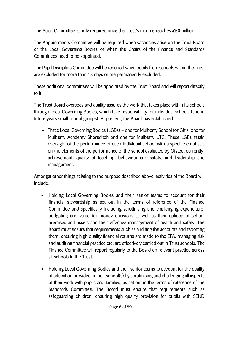The Audit Committee is only required once the Trust's income reaches £50 million.

The Appointments Committee will be required when vacancies arise on the Trust Board or the Local Governing Bodies or when the Chairs of the Finance and Standards Committees need to be appointed.

The Pupil Discipline Committee will be required when pupils from schools within the Trust are excluded for more than 15 days or are permanently excluded.

These additional committees will be appointed by the Trust Board and will report directly to it.

The Trust Board oversees and quality assures the work that takes place within its schools through Local Governing Bodies, which take responsibility for individual schools (and in future years small school groups). At present, the Board has established:

 Three Local Governing Bodies (LGBs) – one for Mulberry School for Girls, one for Mulberry Academy Shoreditch and one for Mulberry UTC. These LGBs retain oversight of the performance of each individual school with a specific emphasis on the elements of the performance of the school evaluated by Ofsted, currently: achievement, quality of teaching, behaviour and safety, and leadership and management.

Amongst other things relating to the purpose described above, activities of the Board will include:

- Holding Local Governing Bodies and their senior teams to account for their financial stewardship as set out in the terms of reference of the Finance Committee and specifically including scrutinising and challenging expenditure, budgeting and value for money decisions as well as their upkeep of school premises and assets and their effective management of health and safety. The Board must ensure that requirements such as auditing the accounts and reporting them, ensuring high quality financial returns are made to the EFA, managing risk and auditing financial practice etc. are effectively carried out in Trust schools. The Finance Committee will report regularly to the Board on relevant practice across all schools in the Trust.
- Holding Local Governing Bodies and their senior teams to account for the quality of education provided in their school(s) by scrutinising and challenging all aspects of their work with pupils and families, as set out in the terms of reference of the Standards Committee. The Board must ensure that requirements such as safeguarding children, ensuring high quality provision for pupils with SEND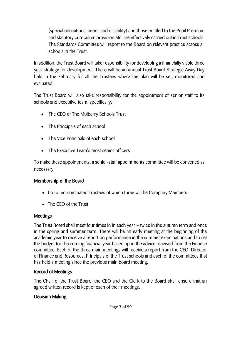(special educational needs and disability) and those entitled to the Pupil Premium and statutory curriculum provision etc. are effectively carried out in Trust schools. The Standards Committee will report to the Board on relevant practice across all schools in the Trust.

In addition, the Trust Board will take responsibility for developing a financially viable three year strategy for development. There will be an annual Trust Board Strategic Away Day held in the February for all the Trustees where the plan will be set, monitored and evaluated.

The Trust Board will also take responsibility for the appointment of senior staff to its schools and executive team, specifically:

- The CEO of The Mulberry Schools Trust
- The Principals of each school
- The Vice Principals of each school
- The Executive Team's most senior officers

To make these appointments, a senior-staff appointments committee will be convened as necessary.

# Membership of the Board

- Up to ten nominated Trustees of which three will be Company Members
- The CEO of the Trust

# Meetings

The Trust Board shall meet four times in in each year – twice in the autumn term and once in the spring and summer term. There will be an early meeting at the beginning of the academic year to receive a report on performance in the summer examinations and to set the budget for the coming financial year based upon the advice received from the Finance committee. Each of the three main meetings will receive a report from the CEO, Director of Finance and Resources, Principals of the Trust schools and each of the committees that has held a meeting since the previous main board meeting.

# Record of Meetings

The Chair of the Trust Board, the CEO and the Clerk to the Board shall ensure that an agreed written record is kept of each of their meetings.

# Decision Making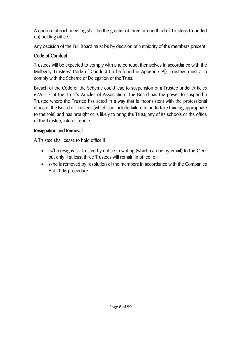A quorum at each meeting shall be the greater of three or one third of Trustees (rounded up) holding office.

Any decision of the Full Board must be by decision of a majority of the members present.

# Code of Conduct

Trustees will be expected to comply with and conduct themselves in accordance with the Mulberry Trustees' Code of Conduct (to be found in Appendix 9]). Trustees must also comply with the Scheme of Delegation of the Trust.

Breach of the Code or the Scheme could lead to suspension of a Trustee under Articles 67A – E of the Trust's Articles of Association. The Board has the power to suspend a Trustee where the Trustee has acted in a way that is inconsistent with the professional ethos of the Board of Trustees (which can include failure to undertake training appropriate to the role) and has brought or is likely to bring the Trust, any of its schools or the office of the Trustee, into disrepute.

# Resignation and Removal

A Trustee shall cease to hold office if:

- s/he resigns as Trustee by notice in writing (which can be by email) to the Clerk but only if at least three Trustees will remain in office; or
- s/he is removed by resolution of the members in accordance with the Companies Act 2006 procedure.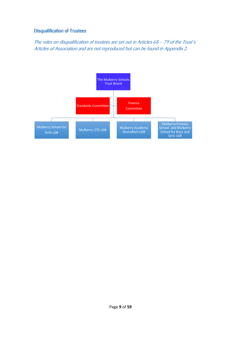## Disqualification of Trustees

The rules on disqualification of trustees are set out in Articles 68 – 79 of the Trust's Articles of Association and are not reproduced but can be found in Appendix 2.

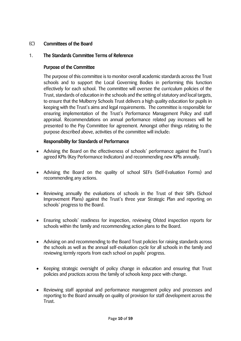## (C) Committees of the Board

## 1. The Standards Committee Terms of Reference

### Purpose of the Committee

The purpose of this committee is to monitor overall academic standards across the Trust schools and to support the Local Governing Bodies in performing this function effectively for each school. The committee will oversee the curriculum policies of the Trust, standards of education in the schools and the setting of statutory and local targets, to ensure that the Mulberry Schools Trust delivers a high quality education for pupils in keeping with the Trust's aims and legal requirements. The committee is responsible for ensuring implementation of the Trust's Performance Management Policy and staff appraisal. Recommendations on annual performance related pay increases will be presented to the Pay Committee for agreement. Amongst other things relating to the purpose described above, activities of the committee will include:

#### Responsibility for Standards of Performance

- Advising the Board on the effectiveness of schools' performance against the Trust's agreed KPIs (Key Performance Indicators) and recommending new KPIs annually.
- Advising the Board on the quality of school SEFs (Self-Evaluation Forms) and recommending any actions.
- Reviewing annually the evaluations of schools in the Trust of their SIPs (School Improvement Plans) against the Trust's three year Strategic Plan and reporting on schools' progress to the Board.
- Ensuring schools' readiness for inspection, reviewing Ofsted inspection reports for schools within the family and recommending action plans to the Board.
- Advising on and recommending to the Board Trust policies for raising standards across the schools as well as the annual self-evaluation cycle for all schools in the family and reviewing termly reports from each school on pupils' progress.
- Keeping strategic oversight of policy change in education and ensuring that Trust policies and practices across the family of schools keep pace with change.
- Reviewing staff appraisal and performance management policy and processes and reporting to the Board annually on quality of provision for staff development across the Trust.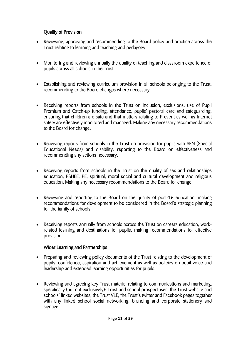## Quality of Provision

- Reviewing, approving and recommending to the Board policy and practice across the Trust relating to learning and teaching and pedagogy.
- Monitoring and reviewing annually the quality of teaching and classroom experience of pupils across all schools in the Trust.
- Establishing and reviewing curriculum provision in all schools belonging to the Trust, recommending to the Board changes where necessary.
- Receiving reports from schools in the Trust on Inclusion, exclusions, use of Pupil Premium and Catch-up funding, attendance, pupils' pastoral care and safeguarding, ensuring that children are safe and that matters relating to Prevent as well as Internet safety are effectively monitored and managed. Making any necessary recommendations to the Board for change.
- Receiving reports from schools in the Trust on provision for pupils with SEN (Special Educational Needs) and disability, reporting to the Board on effectiveness and recommending any actions necessary.
- Receiving reports from schools in the Trust on the quality of sex and relationships education, PSHEE, PE, spiritual, moral social and cultural development and religious education. Making any necessary recommendations to the Board for change.
- Reviewing and reporting to the Board on the quality of post-16 education, making recommendations for development to be considered in the Board's strategic planning for the family of schools.
- Receiving reports annually from schools across the Trust on careers education, workrelated learning and destinations for pupils, making recommendations for effective provision.

#### Wider Learning and Partnerships

- Preparing and reviewing policy documents of the Trust relating to the development of pupils' confidence, aspiration and achievement as well as policies on pupil voice and leadership and extended learning opportunities for pupils.
- Reviewing and agreeing key Trust material relating to communications and marketing, specifically (but not exclusively): Trust and school prospectuses, the Trust website and schools' linked websites, the Trust VLE, the Trust's twitter and Facebook pages together with any linked school social networking, branding and corporate stationery and signage.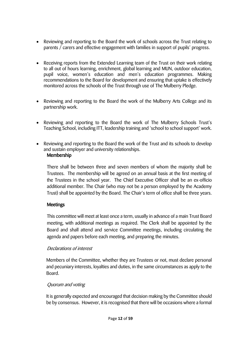- Reviewing and reporting to the Board the work of schools across the Trust relating to parents / carers and effective engagement with families in support of pupils' progress.
- Receiving reports from the Extended Learning team of the Trust on their work relating to all out of hours learning, enrichment, global learning and MUN, outdoor education, pupil voice, women's education and men's education programmes. Making recommendations to the Board for development and ensuring that uptake is effectively monitored across the schools of the Trust through use of The Mulberry Pledge.
- Reviewing and reporting to the Board the work of the Mulberry Arts College and its partnership work.
- Reviewing and reporting to the Board the work of The Mulberry Schools Trust's Teaching School, including ITT, leadership training and 'school to school support' work.
- Reviewing and reporting to the Board the work of the Trust and its schools to develop and sustain employer and university relationships. Membership

There shall be between three and seven members of whom the majority shall be Trustees. The membership will be agreed on an annual basis at the first meeting of the Trustees in the school year. The Chief Executive Officer shall be an ex-officio additional member. The Chair (who may not be a person employed by the Academy Trust) shall be appointed by the Board. The Chair's term of office shall be three years.

## Meetings

This committee will meet at least once a term, usually in advance of a main Trust Board meeting, with additional meetings as required. The Clerk shall be appointed by the Board and shall attend and service Committee meetings, including circulating the agenda and papers before each meeting, and preparing the minutes.

#### Declarations of interest

Members of the Committee, whether they are Trustees or not, must declare personal and pecuniary interests, loyalties and duties, in the same circumstances as apply to the Board.

#### Quorum and voting

It is generally expected and encouraged that decision making by the Committee should be by consensus. However, it is recognised that there will be occasions where a formal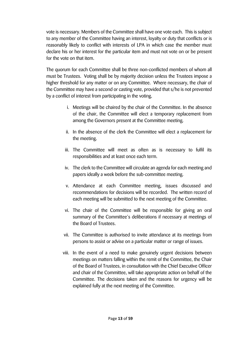vote is necessary. Members of the Committee shall have one vote each. This is subject to any member of the Committee having an interest, loyalty or duty that conflicts or is reasonably likely to conflict with interests of LPA in which case the member must declare his or her interest for the particular item and must not vote on or be present for the vote on that item.

The quorum for each Committee shall be three non-conflicted members of whom all must be Trustees. Voting shall be by majority decision unless the Trustees impose a higher threshold for any matter or on any Committee. Where necessary, the chair of the Committee may have a second or casting vote, provided that s/he is not prevented by a conflict of interest from participating in the voting.

- i. Meetings will be chaired by the chair of the Committee. In the absence of the chair, the Committee will elect a temporary replacement from among the Governors present at the Committee meeting.
- ii. In the absence of the clerk the Committee will elect a replacement for the meeting.
- iii. The Committee will meet as often as is necessary to fulfil its responsibilities and at least once each term.
- iv. The clerk to the Committee will circulate an agenda for each meeting and papers ideally a week before the sub-committee meeting.
- v. Attendance at each Committee meeting, issues discussed and recommendations for decisions will be recorded. The written record of each meeting will be submitted to the next meeting of the Committee.
- vi. The chair of the Committee will be responsible for giving an oral summary of the Committee's deliberations if necessary at meetings of the Board of Trustees.
- vii. The Committee is authorised to invite attendance at its meetings from persons to assist or advise on a particular matter or range of issues.
- viii. In the event of a need to make genuinely urgent decisions between meetings on matters falling within the remit of the Committee, the Chair of the Board of Trustees, in consultation with the Chief Executive Officer and chair of the Committee, will take appropriate action on behalf of the Committee. The decisions taken and the reasons for urgency will be explained fully at the next meeting of the Committee.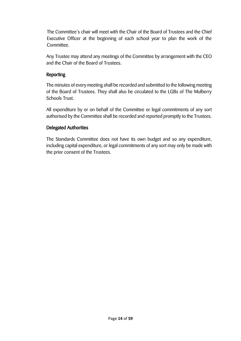The Committee's chair will meet with the Chair of the Board of Trustees and the Chief Executive Officer at the beginning of each school year to plan the work of the Committee.

Any Trustee may attend any meetings of the Committee by arrangement with the CEO and the Chair of the Board of Trustees.

## Reporting

The minutes of every meeting shall be recorded and submitted to the following meeting of the Board of Trustees. They shall also be circulated to the LGBs of The Mulberry Schools Trust.

All expenditure by or on behalf of the Committee or legal commitments of any sort authorised by the Committee shall be recorded and reported promptly to the Trustees.

## Delegated Authorities

The Standards Committee does not have its own budget and so any expenditure, including capital expenditure, or legal commitments of any sort may only be made with the prior consent of the Trustees.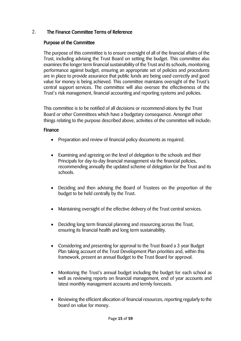## 2. The Finance Committee Terms of Reference

#### Purpose of the Committee

The purpose of this committee is to ensure oversight of all of the financial affairs of the Trust, including advising the Trust Board on setting the budget. This committee also examines the longer term financial sustainability of the Trust and its schools, monitoring performance against budget, ensuring an appropriate set of policies and procedures are in place to provide assurance that public funds are being used correctly and good value for money is being achieved. This committee maintains oversight of the Trust's central support services. The committee will also oversee the effectiveness of the Trust's risk management, financial accounting and reporting systems and policies.

This committee is to be notified of all decisions or recommend-ations by the Trust Board or other Committees which have a budgetary consequence. Amongst other things relating to the purpose described above, activities of the committee will include:

#### Finance

- Preparation and review of financial policy documents as required.
- Examining and agreeing on the level of delegation to the schools and their Principals for day-to-day financial management via the financial policies, recommending annually the updated scheme of delegation for the Trust and its schools.
- Deciding and then advising the Board of Trustees on the proportion of the budget to be held centrally by the Trust.
- Maintaining oversight of the effective delivery of the Trust central services.
- Deciding long term financial planning and resourcing across the Trust, ensuring its financial health and long term sustainability.
- Considering and presenting for approval to the Trust Board a 3 year Budget Plan taking account of the Trust Development Plan priorities and, within this framework, present an annual Budget to the Trust Board for approval.
- Monitoring the Trust's annual budget including the budget for each school as well as reviewing reports on financial management, end of year accounts and latest monthly management accounts and termly forecasts.
- Reviewing the efficient allocation of financial resources, reporting regularly to the board on value for money.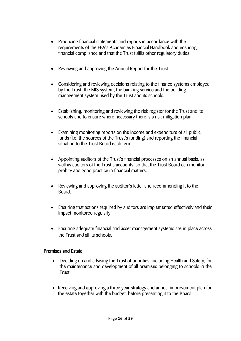- Producing financial statements and reports in accordance with the requirements of the EFA's Academies Financial Handbook and ensuring financial compliance and that the Trust fulfils other regulatory duties.
- Reviewing and approving the Annual Report for the Trust.
- Considering and reviewing decisions relating to the finance systems employed by the Trust, the MIS system, the banking service and the building management system used by the Trust and its schools.
- Establishing, monitoring and reviewing the risk register for the Trust and its schools and to ensure where necessary there is a risk mitigation plan.
- Examining monitoring reports on the income and expenditure of all public funds (i.e. the sources of the Trust's funding) and reporting the financial situation to the Trust Board each term.
- Appointing auditors of the Trust's financial processes on an annual basis, as well as auditors of the Trust's accounts, so that the Trust Board can monitor probity and good practice in financial matters.
- Reviewing and approving the auditor's letter and recommending it to the Board.
- Ensuring that actions required by auditors are implemented effectively and their impact monitored regularly.
- Ensuring adequate financial and asset management systems are in place across the Trust and all its schools.

#### Premises and Estate

- Deciding on and advising the Trust of priorities, including Health and Safety, for the maintenance and development of all premises belonging to schools in the Trust.
- Receiving and approving a three year strategy and annual improvement plan for the estate together with the budget, before presenting it to the Board.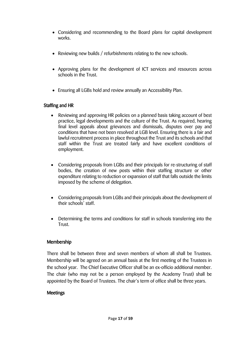- Considering and recommending to the Board plans for capital development works.
- Reviewing new builds / refurbishments relating to the new schools.
- Approving plans for the development of ICT services and resources across schools in the Trust.
- Ensuring all LGBs hold and review annually an Accessibility Plan.

## Staffing and HR

- Reviewing and approving HR policies on a planned basis taking account of best practice, legal developments and the culture of the Trust. As required, hearing final level appeals about grievances and dismissals, disputes over pay and conditions that have not been resolved at LGB level. Ensuring there is a fair and lawful recruitment process in place throughout the Trust and its schools and that staff within the Trust are treated fairly and have excellent conditions of employment.
- Considering proposals from LGBs and their principals for re-structuring of staff bodies, the creation of new posts within their staffing structure or other expenditure relating to reduction or expansion of staff that falls outside the limits imposed by the scheme of delegation.
- Considering proposals from LGBs and their principals about the development of their schools' staff.
- Determining the terms and conditions for staff in schools transferring into the Trust.

#### Membership

There shall be between three and seven members of whom all shall be Trustees. Membership will be agreed on an annual basis at the first meeting of the Trustees in the school year. The Chief Executive Officer shall be an ex-officio additional member. The chair (who may not be a person employed by the Academy Trust) shall be appointed by the Board of Trustees. The chair's term of office shall be three years.

#### Meetings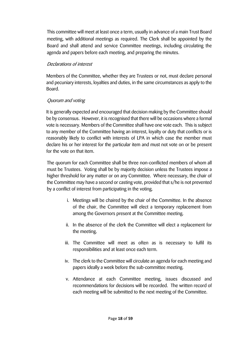This committee will meet at least once a term, usually in advance of a main Trust Board meeting, with additional meetings as required. The Clerk shall be appointed by the Board and shall attend and service Committee meetings, including circulating the agenda and papers before each meeting, and preparing the minutes.

## Declarations of interest

Members of the Committee, whether they are Trustees or not, must declare personal and pecuniary interests, loyalties and duties, in the same circumstances as apply to the Board.

## Quorum and voting

It is generally expected and encouraged that decision making by the Committee should be by consensus. However, it is recognised that there will be occasions where a formal vote is necessary. Members of the Committee shall have one vote each. This is subject to any member of the Committee having an interest, loyalty or duty that conflicts or is reasonably likely to conflict with interests of LPA in which case the member must declare his or her interest for the particular item and must not vote on or be present for the vote on that item.

The quorum for each Committee shall be three non-conflicted members of whom all must be Trustees. Voting shall be by majority decision unless the Trustees impose a higher threshold for any matter or on any Committee. Where necessary, the chair of the Committee may have a second or casting vote, provided that s/he is not prevented by a conflict of interest from participating in the voting.

- i. Meetings will be chaired by the chair of the Committee. In the absence of the chair, the Committee will elect a temporary replacement from among the Governors present at the Committee meeting.
- ii. In the absence of the clerk the Committee will elect a replacement for the meeting.
- iii. The Committee will meet as often as is necessary to fulfil its responsibilities and at least once each term.
- iv. The clerk to the Committee will circulate an agenda for each meeting and papers ideally a week before the sub-committee meeting.
- v. Attendance at each Committee meeting, issues discussed and recommendations for decisions will be recorded. The written record of each meeting will be submitted to the next meeting of the Committee.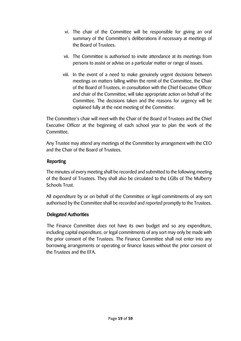- vi. The chair of the Committee will be responsible for giving an oral summary of the Committee's deliberations if necessary at meetings of the Board of Trustees.
- vii. The Committee is authorised to invite attendance at its meetings from persons to assist or advise on a particular matter or range of issues.
- viii. In the event of a need to make genuinely urgent decisions between meetings on matters falling within the remit of the Committee, the Chair of the Board of Trustees, in consultation with the Chief Executive Officer and chair of the Committee, will take appropriate action on behalf of the Committee. The decisions taken and the reasons for urgency will be explained fully at the next meeting of the Committee.

The Committee's chair will meet with the Chair of the Board of Trustees and the Chief Executive Officer at the beginning of each school year to plan the work of the Committee.

Any Trustee may attend any meetings of the Committee by arrangement with the CEO and the Chair of the Board of Trustees.

## Reporting

The minutes of every meeting shall be recorded and submitted to the following meeting of the Board of Trustees. They shall also be circulated to the LGBs of The Mulberry Schools Trust.

All expenditure by or on behalf of the Committee or legal commitments of any sort authorised by the Committee shall be recorded and reported promptly to the Trustees.

#### Delegated Authorities

The Finance Committee does not have its own budget and so any expenditure, including capital expenditure, or legal commitments of any sort may only be made with the prior consent of the Trustees. The Finance Committee shall not enter into any borrowing arrangements or operating or finance leases without the prior consent of the Trustees and the EFA.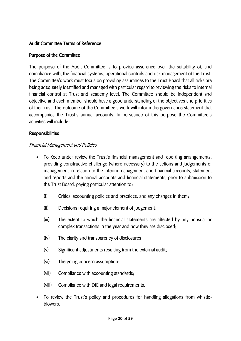## Audit Committee Terms of Reference

### Purpose of the Committee

The purpose of the Audit Committee is to provide assurance over the suitability of, and compliance with, the financial systems, operational controls and risk management of the Trust. The Committee's work must focus on providing assurances to the Trust Board that all risks are being adequately identified and managed with particular regard to reviewing the risks to internal financial control at Trust and academy level. The Committee should be independent and objective and each member should have a good understanding of the objectives and priorities of the Trust. The outcome of the Committee's work will inform the governance statement that accompanies the Trust's annual accounts. In pursuance of this purpose the Committee's activities will include:

#### Responsibilities

#### Financial Management and Policies

- To Keep under review the Trust's financial management and reporting arrangements, providing constructive challenge (where necessary) to the actions and judgements of management in relation to the interim management and financial accounts, statement and reports and the annual accounts and financial statements, prior to submission to the Trust Board, paying particular attention to:
	- (i) Critical accounting policies and practices, and any changes in them;
	- (ii) Decisions requiring a major element of judgement;
	- (iii) The extent to which the financial statements are affected by any unusual or complex transactions in the year and how they are disclosed;
	- (iv) The clarity and transparency of disclosures;
	- (v) Significant adjustments resulting from the external audit;
	- (vi) The going concern assumption;
	- (vii) Compliance with accounting standards;
	- (viii) Compliance with DfE and legal requirements.
- To review the Trust's policy and procedures for handling allegations from whistleblowers.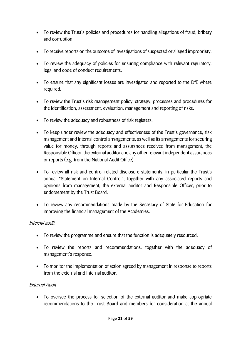- To review the Trust's policies and procedures for handling allegations of fraud, bribery and corruption.
- To receive reports on the outcome of investigations of suspected or alleged impropriety.
- To review the adequacy of policies for ensuring compliance with relevant regulatory, legal and code of conduct requirements.
- To ensure that any significant losses are investigated and reported to the DfE where required.
- To review the Trust's risk management policy, strategy, processes and procedures for the identification, assessment, evaluation, management and reporting of risks.
- To review the adequacy and robustness of risk registers.
- To keep under review the adequacy and effectiveness of the Trust's governance, risk management and internal control arrangements, as well as its arrangements for securing value for money, through reports and assurances received from management, the Responsible Officer, the external auditor and any other relevant independent assurances or reports (e.g. from the National Audit Office).
- To review all risk and control related disclosure statements, in particular the Trust's annual "Statement on Internal Control", together with any associated reports and opinions from management, the external auditor and Responsible Officer, prior to endorsement by the Trust Board.
- To review any recommendations made by the Secretary of State for Education for improving the financial management of the Academies.

#### Internal audit

- To review the programme and ensure that the function is adequately resourced.
- To review the reports and recommendations, together with the adequacy of management's response.
- To monitor the implementation of action agreed by management in response to reports from the external and internal auditor.

#### External Audit

 To oversee the process for selection of the external auditor and make appropriate recommendations to the Trust Board and members for consideration at the annual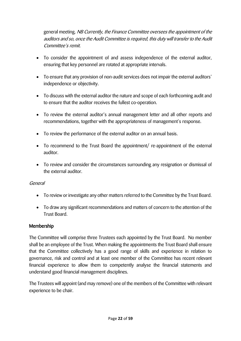general meeting. NB Currently, the Finance Committee oversees the appointment of the auditors and so, once the Audit Committee is required, this duty will transfer to the Audit Committee's remit.

- To consider the appointment of and assess independence of the external auditor, ensuring that key personnel are rotated at appropriate intervals.
- To ensure that any provision of non-audit services does not impair the external auditors' independence or objectivity.
- To discuss with the external auditor the nature and scope of each forthcoming audit and to ensure that the auditor receives the fullest co-operation.
- To review the external auditor's annual management letter and all other reports and recommendations, together with the appropriateness of management's response.
- To review the performance of the external auditor on an annual basis.
- To recommend to the Trust Board the appointment/ re-appointment of the external auditor.
- To review and consider the circumstances surrounding any resignation or dismissal of the external auditor.

#### General

- To review or investigate any other matters referred to the Committee by the Trust Board.
- To draw any significant recommendations and matters of concern to the attention of the Trust Board.

#### Membership

The Committee will comprise three Trustees each appointed by the Trust Board. No member shall be an employee of the Trust. When making the appointments the Trust Board shall ensure that the Committee collectively has a good range of skills and experience in relation to governance, risk and control and at least one member of the Committee has recent relevant financial experience to allow them to competently analyse the financial statements and understand good financial management disciplines.

The Trustees will appoint (and may remove) one of the members of the Committee with relevant experience to be chair.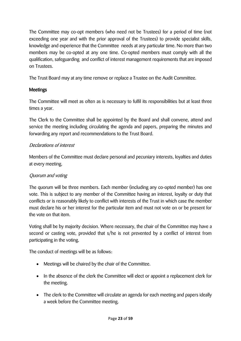The Committee may co-opt members (who need not be Trustees) for a period of time (not exceeding one year and with the prior approval of the Trustees) to provide specialist skills, knowledge and experience that the Committee needs at any particular time. No more than two members may be co-opted at any one time. Co-opted members must comply with all the qualification, safeguarding and conflict of interest management requirements that are imposed on Trustees.

The Trust Board may at any time remove or replace a Trustee on the Audit Committee.

## Meetings

The Committee will meet as often as is necessary to fulfil its responsibilities but at least three times a year.

The Clerk to the Committee shall be appointed by the Board and shall convene, attend and service the meeting including circulating the agenda and papers, preparing the minutes and forwarding any report and recommendations to the Trust Board.

## Declarations of interest

Members of the Committee must declare personal and pecuniary interests, loyalties and duties at every meeting.

# Quorum and voting

The quorum will be three members. Each member (including any co-opted member) has one vote. This is subject to any member of the Committee having an interest, loyalty or duty that conflicts or is reasonably likely to conflict with interests of the Trust in which case the member must declare his or her interest for the particular item and must not vote on or be present for the vote on that item.

Voting shall be by majority decision. Where necessary, the chair of the Committee may have a second or casting vote, provided that s/he is not prevented by a conflict of interest from participating in the voting.

The conduct of meetings will be as follows:

- Meetings will be chaired by the chair of the Committee.
- In the absence of the clerk the Committee will elect or appoint a replacement clerk for the meeting.
- The clerk to the Committee will circulate an agenda for each meeting and papers ideally a week before the Committee meeting.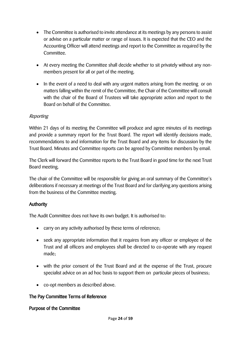- The Committee is authorised to invite attendance at its meetings by any persons to assist or advise on a particular matter or range of issues. It is expected that the CEO and the Accounting Officer will attend meetings and report to the Committee as required by the Committee.
- At every meeting the Committee shall decide whether to sit privately without any nonmembers present for all or part of the meeting.
- In the event of a need to deal with any urgent matters arising from the meeting or on matters falling within the remit of the Committee, the Chair of the Committee will consult with the chair of the Board of Trustees will take appropriate action and report to the Board on behalf of the Committee.

## Reporting

Within 21 days of its meeting the Committee will produce and agree minutes of its meetings and provide a summary report for the Trust Board. The report will identify decisions made, recommendations to and information for the Trust Board and any items for discussion by the Trust Board. Minutes and Committee reports can be agreed by Committee members by email.

The Clerk will forward the Committee reports to the Trust Board in good time for the next Trust Board meeting.

The chair of the Committee will be responsible for giving an oral summary of the Committee's deliberations if necessary at meetings of the Trust Board and for clarifying any questions arising from the business of the Committee meeting.

#### Authority

The Audit Committee does not have its own budget. It is authorised to:

- carry on any activity authorised by these terms of reference;
- seek any appropriate information that it requires from any officer or employee of the Trust and all officers and employees shall be directed to co-operate with any request made;
- with the prior consent of the Trust Board and at the expense of the Trust, procure specialist advice on an ad hoc basis to support them on particular pieces of business;
- co-opt members as described above.

## The Pay Committee Terms of Reference

#### Purpose of the Committee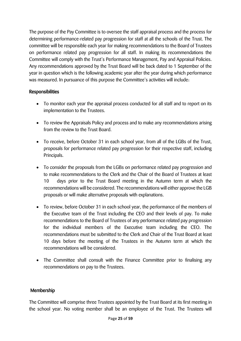The purpose of the Pay Committee is to oversee the staff appraisal process and the process for determining performance-related pay progression for staff at all the schools of the Trust. The committee will be responsible each year for making recommendations to the Board of Trustees on performance related pay progression for all staff. In making its recommendations the Committee will comply with the Trust's Performance Management, Pay and Appraisal Policies. Any recommendations approved by the Trust Board will be back dated to 1 September of the year in question which is the following academic year after the year during which performance was measured. In pursuance of this purpose the Committee's activities will include:

## Responsibilities

- To monitor each year the appraisal process conducted for all staff and to report on its implementation to the Trustees.
- To review the Appraisals Policy and process and to make any recommendations arising from the review to the Trust Board.
- To receive, before October 31 in each school year, from all of the LGBs of the Trust, proposals for performance related pay progression for their respective staff, including Principals.
- To consider the proposals from the LGBs on performance related pay progression and to make recommendations to the Clerk and the Chair of the Board of Trustees at least 10 days prior to the Trust Board meeting in the Autumn term at which the recommendations will be considered. The recommendations will either approve the LGB proposals or will make alternative proposals with explanations.
- To review, before October 31 in each school year, the performance of the members of the Executive team of the Trust including the CEO and their levels of pay. To make recommendations to the Board of Trustees of any performance related pay progression for the individual members of the Executive team including the CEO. The recommendations must be submitted to the Clerk and Chair of the Trust Board at least 10 days before the meeting of the Trustees in the Autumn term at which the recommendations will be considered.
- The Committee shall consult with the Finance Committee prior to finalising any recommendations on pay to the Trustees.

#### Membership

The Committee will comprise three Trustees appointed by the Trust Board at its first meeting in the school year. No voting member shall be an employee of the Trust. The Trustees will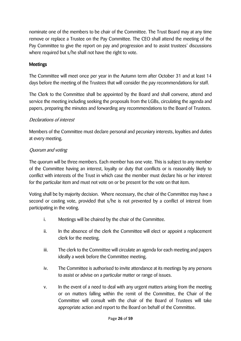nominate one of the members to be chair of the Committee. The Trust Board may at any time remove or replace a Trustee on the Pay Committee. The CEO shall attend the meeting of the Pay Committee to give the report on pay and progression and to assist trustees' discussions where required but s/he shall not have the right to vote.

## Meetings

The Committee will meet once per year in the Autumn term after October 31 and at least 14 days before the meeting of the Trustees that will consider the pay recommendations for staff.

The Clerk to the Committee shall be appointed by the Board and shall convene, attend and service the meeting including seeking the proposals from the LGBs, circulating the agenda and papers, preparing the minutes and forwarding any recommendations to the Board of Trustees.

## Declarations of interest

Members of the Committee must declare personal and pecuniary interests, loyalties and duties at every meeting.

## Quorum and voting

The quorum will be three members. Each member has one vote. This is subject to any member of the Committee having an interest, loyalty or duty that conflicts or is reasonably likely to conflict with interests of the Trust in which case the member must declare his or her interest for the particular item and must not vote on or be present for the vote on that item.

Voting shall be by majority decision. Where necessary, the chair of the Committee may have a second or casting vote, provided that s/he is not prevented by a conflict of interest from participating in the voting.

- i. Meetings will be chaired by the chair of the Committee.
- ii. In the absence of the clerk the Committee will elect or appoint a replacement clerk for the meeting.
- iii. The clerk to the Committee will circulate an agenda for each meeting and papers ideally a week before the Committee meeting.
- iv. The Committee is authorised to invite attendance at its meetings by any persons to assist or advise on a particular matter or range of issues.
- v. In the event of a need to deal with any urgent matters arising from the meeting or on matters falling within the remit of the Committee, the Chair of the Committee will consult with the chair of the Board of Trustees will take appropriate action and report to the Board on behalf of the Committee.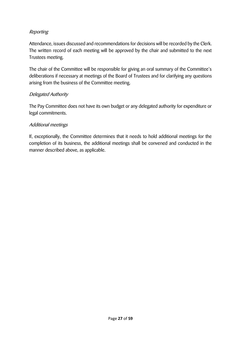## Reporting

Attendance, issues discussed and recommendations for decisions will be recorded by the Clerk. The written record of each meeting will be approved by the chair and submitted to the next Trustees meeting.

The chair of the Committee will be responsible for giving an oral summary of the Committee's deliberations if necessary at meetings of the Board of Trustees and for clarifying any questions arising from the business of the Committee meeting.

#### Delegated Authority

The Pay Committee does not have its own budget or any delegated authority for expenditure or legal commitments.

#### Additional meetings

If, exceptionally, the Committee determines that it needs to hold additional meetings for the completion of its business, the additional meetings shall be convened and conducted in the manner described above, as applicable.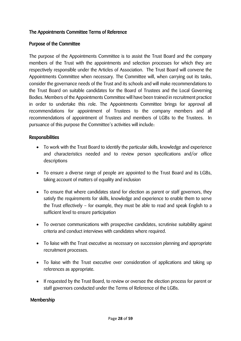## The Appointments Committee Terms of Reference

#### Purpose of the Committee

The purpose of the Appointments Committee is to assist the Trust Board and the company members of the Trust with the appointments and selection processes for which they are respectively responsible under the Articles of Association. The Trust Board will convene the Appointments Committee when necessary. The Committee will, when carrying out its tasks, consider the governance needs of the Trust and its schools and will make recommendations to the Trust Board on suitable candidates for the Board of Trustees and the Local Governing Bodies. Members of the Appointments Committee will have been trained in recruitment practice in order to undertake this role. The Appointments Committee brings for approval all recommendations for appointment of Trustees to the company members and all recommendations of appointment of Trustees and members of LGBs to the Trustees. In pursuance of this purpose the Committee's activities will include:

#### Responsibilities

- To work with the Trust Board to identify the particular skills, knowledge and experience and characteristics needed and to review person specifications and/or office descriptions
- To ensure a diverse range of people are appointed to the Trust Board and its LGBs, taking account of matters of equality and inclusion
- To ensure that where candidates stand for election as parent or staff governors, they satisfy the requirements for skills, knowledge and experience to enable them to serve the Trust effectively – for example, they must be able to read and speak English to a sufficient level to ensure participation
- To oversee communications with prospective candidates, scrutinise suitability against criteria and conduct interviews with candidates where required.
- To liaise with the Trust executive as necessary on succession planning and appropriate recruitment processes.
- To liaise with the Trust executive over consideration of applications and taking up references as appropriate.
- If requested by the Trust Board, to review or oversee the election process for parent or staff governors conducted under the Terms of Reference of the LGBs.

#### Membership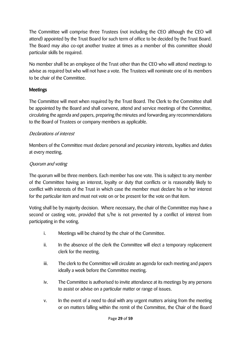The Committee will comprise three Trustees (not including the CEO although the CEO will attend) appointed by the Trust Board for such term of office to be decided by the Trust Board. The Board may also co-opt another trustee at times as a member of this committee should particular skills be required.

No member shall be an employee of the Trust other than the CEO who will attend meetings to advise as required but who will not have a vote. The Trustees will nominate one of its members to be chair of the Committee.

## Meetings

The Committee will meet when required by the Trust Board. The Clerk to the Committee shall be appointed by the Board and shall convene, attend and service meetings of the Committee, circulating the agenda and papers, preparing the minutes and forwarding any recommendations to the Board of Trustees or company members as applicable.

## Declarations of interest

Members of the Committee must declare personal and pecuniary interests, loyalties and duties at every meeting.

## Quorum and voting

The quorum will be three members. Each member has one vote. This is subject to any member of the Committee having an interest, loyalty or duty that conflicts or is reasonably likely to conflict with interests of the Trust in which case the member must declare his or her interest for the particular item and must not vote on or be present for the vote on that item.

Voting shall be by majority decision. Where necessary, the chair of the Committee may have a second or casting vote, provided that s/he is not prevented by a conflict of interest from participating in the voting.

- i. Meetings will be chaired by the chair of the Committee.
- ii. In the absence of the clerk the Committee will elect a temporary replacement clerk for the meeting.
- iii. The clerk to the Committee will circulate an agenda for each meeting and papers ideally a week before the Committee meeting.
- iv. The Committee is authorised to invite attendance at its meetings by any persons to assist or advise on a particular matter or range of issues.
- v. In the event of a need to deal with any urgent matters arising from the meeting or on matters falling within the remit of the Committee, the Chair of the Board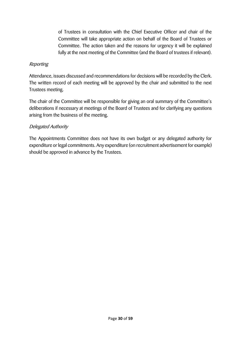of Trustees in consultation with the Chief Executive Officer and chair of the Committee will take appropriate action on behalf of the Board of Trustees or Committee. The action taken and the reasons for urgency it will be explained fully at the next meeting of the Committee (and the Board of trustees if relevant).

### Reporting

Attendance, issues discussed and recommendations for decisions will be recorded by the Clerk. The written record of each meeting will be approved by the chair and submitted to the next Trustees meeting.

The chair of the Committee will be responsible for giving an oral summary of the Committee's deliberations if necessary at meetings of the Board of Trustees and for clarifying any questions arising from the business of the meeting.

## Delegated Authority

The Appointments Committee does not have its own budget or any delegated authority for expenditure or legal commitments. Any expenditure (on recruitment advertisement for example) should be approved in advance by the Trustees.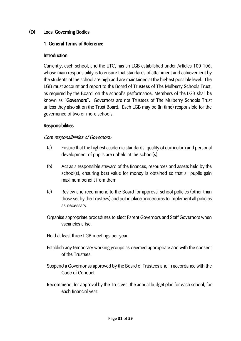## (D) Local Governing Bodies

#### 1. General Terms of Reference

#### Introduction

Currently, each school, and the UTC, has an LGB established under Articles 100-106, whose main responsibility is to ensure that standards of attainment and achievement by the students of the school are high and are maintained at the highest possible level. The LGB must account and report to the Board of Trustees of The Mulberry Schools Trust, as required by the Board, on the school's performance. Members of the LGB shall be known as "Governors". Governors are not Trustees of The Mulberry Schools Trust unless they also sit on the Trust Board. Each LGB may be (in time) responsible for the governance of two or more schools.

#### Responsibilities

#### Core responsibilities of Governors:

- (a) Ensure that the highest academic standards, quality of curriculum and personal development of pupils are upheld at the school(s)
- (b) Act as a responsible steward of the finances, resources and assets held by the school(s), ensuring best value for money is obtained so that all pupils gain maximum benefit from them
- (c) Review and recommend to the Board for approval school policies (other than those set by the Trustees) and put in place procedures to implement all policies as necessary.
- Organise appropriate procedures to elect Parent Governors and Staff Governors when vacancies arise.
- Hold at least three LGB meetings per year.
- Establish any temporary working groups as deemed appropriate and with the consent of the Trustees.
- Suspend a Governor as approved by the Board of Trustees and in accordance with the Code of Conduct
- Recommend, for approval by the Trustees, the annual budget plan for each school, for each financial year.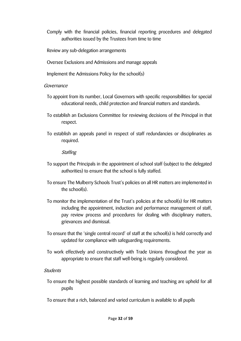- Comply with the financial policies, financial reporting procedures and delegated authorities issued by the Trustees from time to time
- Review any sub-delegation arrangements
- Oversee Exclusions and Admissions and manage appeals
- Implement the Admissions Policy for the school(s)

#### Governance

- To appoint from its number, Local Governors with specific responsibilities for special educational needs, child protection and financial matters and standards.
- To establish an Exclusions Committee for reviewing decisions of the Principal in that respect.
- To establish an appeals panel in respect of staff redundancies or disciplinaries as required.

#### **Staffing**

- To support the Principals in the appointment of school staff (subject to the delegated authorities) to ensure that the school is fully staffed.
- To ensure The Mulberry Schools Trust's policies on all HR matters are implemented in the school(s).
- To monitor the implementation of the Trust's policies at the school(s) for HR matters including the appointment, induction and performance management of staff, pay review process and procedures for dealing with disciplinary matters, grievances and dismissal.
- To ensure that the 'single central record' of staff at the school(s) is held correctly and updated for compliance with safeguarding requirements.
- To work effectively and constructively with Trade Unions throughout the year as appropriate to ensure that staff well-being is regularly considered.

#### **Students**

- To ensure the highest possible standards of learning and teaching are upheld for all pupils
- To ensure that a rich, balanced and varied curriculum is available to all pupils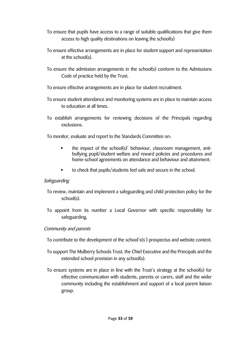- To ensure that pupils have access to a range of suitable qualifications that give them access to high quality destinations on leaving the school(s)
- To ensure effective arrangements are in place for student support and representation at the school(s).
- To ensure the admission arrangements in the school(s) conform to the Admissions Code of practice held by the Trust.
- To ensure effective arrangements are in place for student recruitment.
- To ensure student attendance and monitoring systems are in place to maintain access to education at all times.
- To establish arrangements for reviewing decisions of the Principals regarding exclusions.

To monitor, evaluate and report to the Standards Committee on:

- the impact of the school(s)' behaviour, classroom management, antibullying pupil/student welfare and reward policies and procedures and home-school agreements on attendance and behaviour and attainment;
- to check that pupils/students feel safe and secure in the school.

#### **Safeguarding**

- To review, maintain and implement a safeguarding and child protection policy for the school(s).
- To appoint from its number a Local Governor with specific responsibility for safeguarding.

#### Community and parents

- To contribute to the development of the school's(s') prospectus and website content.
- To support The Mulberry Schools Trust, the Chief Executive and the Principals and the extended school provision in any school(s).
- To ensure systems are in place in line with the Trust's strategy at the school(s) for effective communication with students, parents or carers, staff and the wider community including the establishment and support of a local parent liaison group.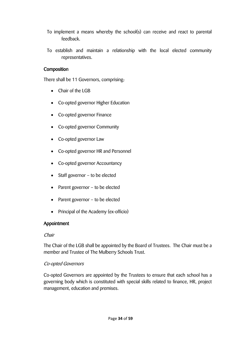- To implement a means whereby the school(s) can receive and react to parental feedback.
- To establish and maintain a relationship with the local elected community representatives.

## Composition

There shall be 11 Governors, comprising:

- Chair of the LGB
- Co-opted governor Higher Education
- Co-opted governor Finance
- Co-opted governor Community
- Co-opted governor Law
- Co-opted governor HR and Personnel
- Co-opted governor Accountancy
- Staff governor to be elected
- Parent governor to be elected
- Parent governor to be elected
- Principal of the Academy (ex-officio)

#### Appointment

#### **Chair**

The Chair of the LGB shall be appointed by the Board of Trustees. The Chair must be a member and Trustee of The Mulberry Schools Trust.

#### Co-opted Governors

Co-opted Governors are appointed by the Trustees to ensure that each school has a governing body which is constituted with special skills related to finance, HR, project management, education and premises.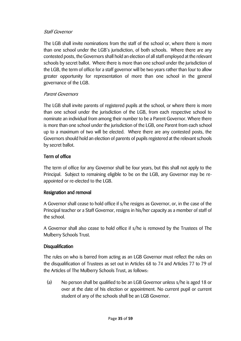#### Staff Governor

The LGB shall invite nominations from the staff of the school or, where there is more than one school under the LGB's jurisdiction, of both schools. Where there are any contested posts, the Governors shall hold an election of all staff employed at the relevant schools by secret ballot. Where there is more than one school under the jurisdiction of the LGB, the term of office for a staff governor will be two years rather than four to allow greater opportunity for representation of more than one school in the general governance of the LGB.

#### Parent Governors

The LGB shall invite parents of registered pupils at the school, or where there is more than one school under the jurisdiction of the LGB, from each respective school to nominate an individual from among their number to be a Parent Governor. Where there is more than one school under the jurisdiction of the LGB, one Parent from each school up to a maximum of two will be elected. Where there are any contested posts, the Governors should hold an election of parents of pupils registered at the relevant schools by secret ballot.

## Term of office

The term of office for any Governor shall be four years, but this shall not apply to the Principal. Subject to remaining eligible to be on the LGB, any Governor may be reappointed or re-elected to the LGB.

#### Resignation and removal

A Governor shall cease to hold office if s/he resigns as Governor, or, in the case of the Principal teacher or a Staff Governor, resigns in his/her capacity as a member of staff of the school.

A Governor shall also cease to hold office if s/he is removed by the Trustees of The Mulberry Schools Trust.

#### **Disqualification**

The rules on who is barred from acting as an LGB Governor must reflect the rules on the disqualification of Trustees as set out in Articles 68 to 74 and Articles 77 to 79 of the Articles of The Mulberry Schools Trust, as follows:

(a) No person shall be qualified to be an LGB Governor unless s/he is aged 18 or over at the date of his election or appointment. No current pupil or current student of any of the schools shall be an LGB Governor.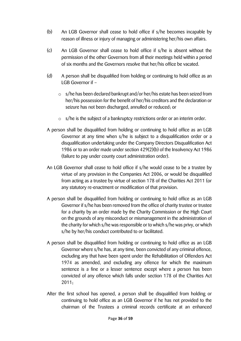- (b) An LGB Governor shall cease to hold office if s/he becomes incapable by reason of illness or injury of managing or administering her/his own affairs.
- (c) An LGB Governor shall cease to hold office if s/he is absent without the permission of the other Governors from all their meetings held within a period of six months and the Governors resolve that her/his office be vacated.
- (d) A person shall be disqualified from holding or continuing to hold office as an LGB Governor if –
	- o s/he has been declared bankrupt and/or her/his estate has been seized from her/his possession for the benefit of her/his creditors and the declaration or seizure has not been discharged, annulled or reduced; or
	- $\circ$  s/he is the subject of a bankruptcy restrictions order or an interim order.
- A person shall be disqualified from holding or continuing to hold office as an LGB Governor at any time when s/he is subject to a disqualification order or a disqualification undertaking under the Company Directors Disqualification Act 1986 or to an order made under section 429(2)(b) of the Insolvency Act 1986 (failure to pay under county court administration order).
- An LGB Governor shall cease to hold office if s/he would cease to be a trustee by virtue of any provision in the Companies Act 2006, or would be disqualified from acting as a trustee by virtue of section 178 of the Charities Act 2011 (or any statutory re-enactment or modification of that provision.
- A person shall be disqualified from holding or continuing to hold office as an LGB Governor if s/he has been removed from the office of charity trustee or trustee for a charity by an order made by the Charity Commission or the High Court on the grounds of any misconduct or mismanagement in the administration of the charity for which s/he was responsible or to which s/he was privy, or which s/he by her/his conduct contributed to or facilitated.
- A person shall be disqualified from holding or continuing to hold office as an LGB Governor where s/he has, at any time, been convicted of any criminal offence, excluding any that have been spent under the Rehabilitation of Offenders Act 1974 as amended, and excluding any offence for which the maximum sentence is a fine or a lesser sentence except where a person has been convicted of any offence which falls under section 178 of the Charities Act 2011;
- After the first school has opened, a person shall be disqualified from holding or continuing to hold office as an LGB Governor if he has not provided to the chairman of the Trustees a criminal records certificate at an enhanced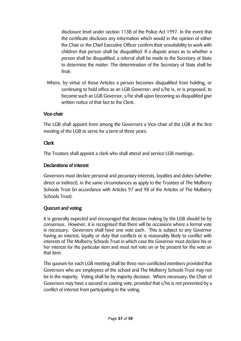disclosure level under section 113B of the Police Act 1997. In the event that the certificate discloses any information which would in the opinion of either the Chair or the Chief Executive Officer confirm their unsuitability to work with children that person shall be disqualified. If a dispute arises as to whether a person shall be disqualified, a referral shall be made to the Secretary of State to determine the matter. The determination of the Secretary of State shall be final;

Where, by virtue of these Articles a person becomes disqualified from holding, or continuing to hold office as an LGB Governor; and s/he is, or is proposed, to become such an LGB Governor, s/he shall upon becoming so disqualified give written notice of that fact to the Clerk.

#### Vice-chair

The LGB shall appoint from among the Governors a Vice-chair of the LGB at the first meeting of the LGB to serve for a term of three years.

## Clerk

The Trustees shall appoint a clerk who shall attend and service LGB meetings.

## Declarations of interest

Governors must declare personal and pecuniary interests, loyalties and duties (whether direct or indirect), in the same circumstances as apply to the Trustees of The Mulberry Schools Trust (in accordance with Articles 97 and 98 of the Articles of The Mulberry Schools Trust).

## Quorum and voting

It is generally expected and encouraged that decision making by the LGB should be by consensus. However, it is recognised that there will be occasions where a formal vote is necessary. Governors shall have one vote each. This is subject to any Governor having an interest, loyalty or duty that conflicts or is reasonably likely to conflict with interests of The Mulberry Schools Trust in which case the Governor must declare his or her interest for the particular item and must not vote on or be present for the vote on that item.

The quorum for each LGB meeting shall be three non-conflicted members provided that Governors who are employees of the school and The Mulberry Schools Trust may not be in the majority. Voting shall be by majority decision. Where necessary, the Chair of Governors may have a second or casting vote, provided that s/he is not prevented by a conflict of interest from participating in the voting.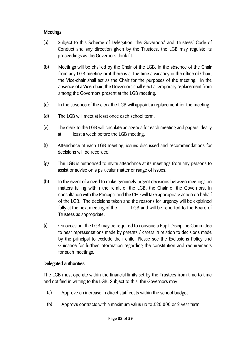#### Meetings

- (a) Subject to this Scheme of Delegation, the Governors' and Trustees' Code of Conduct and any direction given by the Trustees, the LGB may regulate its proceedings as the Governors think fit.
- (b) Meetings will be chaired by the Chair of the LGB. In the absence of the Chair from any LGB meeting or if there is at the time a vacancy in the office of Chair, the Vice-chair shall act as the Chair for the purposes of the meeting. In the absence of a Vice-chair, the Governors shall elect a temporary replacement from among the Governors present at the LGB meeting.
- (c) In the absence of the clerk the LGB will appoint a replacement for the meeting.
- (d) The LGB will meet at least once each school term.
- (e) The clerk to the LGB will circulate an agenda for each meeting and papers ideally at least a week before the LGB meeting.
- (f) Attendance at each LGB meeting, issues discussed and recommendations for decisions will be recorded.
- (g) The LGB is authorised to invite attendance at its meetings from any persons to assist or advise on a particular matter or range of issues.
- (h) In the event of a need to make genuinely urgent decisions between meetings on matters falling within the remit of the LGB, the Chair of the Governors, in consultation with the Principal and the CEO will take appropriate action on behalf of the LGB. The decisions taken and the reasons for urgency will be explained fully at the next meeting of the LGB and will be reported to the Board of Trustees as appropriate.
- (i) On occasion, the LGB may be required to convene a Pupil Discipline Committee to hear representations made by parents / carers in relation to decisions made by the principal to exclude their child. Please see the Exclusions Policy and Guidance for further information regarding the constitution and requirements for such meetings.

## Delegated authorities

The LGB must operate within the financial limits set by the Trustees from time to time and notified in writing to the LGB. Subject to this, the Governors may:

- (a) Approve an increase in direct staff costs within the school budget
- (b) Approve contracts with a maximum value up to £20,000 or 2 year term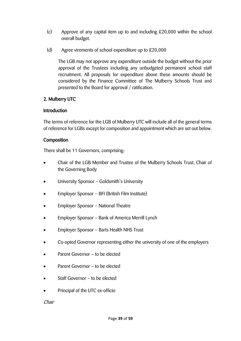- (c) Approve of any capital item up to and including £20,000 within the school overall budget.
- (d) Agree virements of school expenditure up to £20,000

The LGB may not approve any expenditure outside the budget without the prior approval of the Trustees including any unbudgeted permanent school staff recruitment. All proposals for expenditure above these amounts should be considered by the Finance Committee of The Mulberry Schools Trust and presented to the Board for approval / ratification.

## 2. Mulberry UTC

#### **Introduction**

The terms of reference for the LGB of Mulberry UTC will include all of the general terms of reference for LGBs except for composition and appointment which are set out below.

## **Composition**

There shall be 11 Governors, comprising:

- Chair of the LGB Member and Trustee of the Mulberry Schools Trust, Chair of the Governing Body
- University Sponsor Goldsmith's University
- Employer Sponsor BFI (British Film Institute)
- Employer Sponsor National Theatre
- Employer Sponsor Bank of America Merrill Lynch
- Employer Sponsor Barts Health NHS Trust
- Co-opted Governor representing either the university of one of the employers
- Parent Governor to be elected
- Parent Governor to be elected
- Staff Governor to be elected
- Principal of the UTC ex-officio

Chair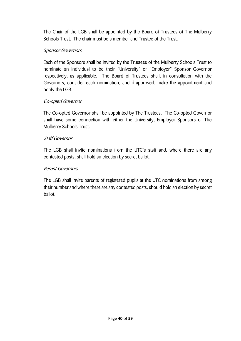The Chair of the LGB shall be appointed by the Board of Trustees of The Mulberry Schools Trust. The chair must be a member and Trustee of the Trust.

#### Sponsor Governors

Each of the Sponsors shall be invited by the Trustees of the Mulberry Schools Trust to nominate an individual to be their "University" or "Employer" Sponsor Governor respectively, as applicable. The Board of Trustees shall, in consultation with the Governors, consider each nomination, and if approved, make the appointment and notify the LGB.

## Co-opted Governor

The Co-opted Governor shall be appointed by The Trustees. The Co-opted Governor shall have some connection with either the University, Employer Sponsors or The Mulberry Schools Trust.

#### Staff Governor

The LGB shall invite nominations from the UTC's staff and, where there are any contested posts, shall hold an election by secret ballot.

### Parent Governors

The LGB shall invite parents of registered pupils at the UTC nominations from among their number and where there are any contested posts, should hold an election by secret ballot.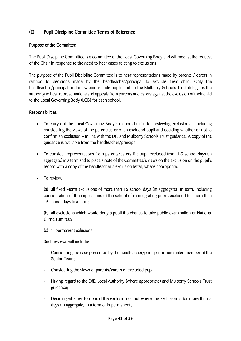## (E) Pupil Discipline Committee Terms of Reference

#### Purpose of the Committee

The Pupil Discipline Committee is a committee of the Local Governing Body and will meet at the request of the Chair in response to the need to hear cases relating to exclusions.

The purpose of the Pupil Discipline Committee is to hear representations made by parents / carers in relation to decisions made by the headteacher/principal to exclude their child. Only the headteacher/principal under law can exclude pupils and so the Mulberry Schools Trust delegates the authority to hear representations and appeals from parents and carers against the exclusion of their child to the Local Governing Body (LGB) for each school.

#### Responsibilities

- To carry out the Local Governing Body's responsibilities for reviewing exclusions including considering the views of the parent/carer of an excluded pupil and deciding whether or not to confirm an exclusion – in line with the DfE and Mulberry Schools Trust guidance. A copy of the guidance is available from the headteacher/principal.
- To consider representations from parents/carers if a pupil excluded from 1-5 school days (in aggregate) in a term and to place a note of the Committee's views on the exclusion on the pupil's record with a copy of the headteacher's exclusion letter, where appropriate.
- To review:

(a) all fixed –term exclusions of more than 15 school days (in aggregate) in term, including consideration of the implications of the school of re-integrating pupils excluded for more than 15 school days in a term;

(b) all exclusions which would deny a pupil the chance to take public examination or National Curriculum test;

(c) all permanent exlusions;

Such reviews will include:

- Considering the case presented by the headteacher/principal or nominated member of the Senior Team;
- Considering the views of parents/carers of excluded pupil;
- Having regard to the DfE, Local Authority (where appropriate) and Mulberry Schools Trust guidance;
- Deciding whether to uphold the exclusion or not where the exclusion is for more than 5 days (in aggregate) in a term or is permanent;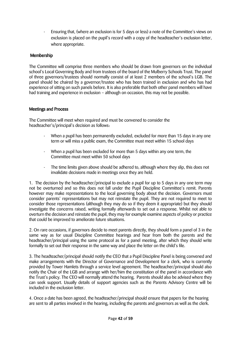- Ensuring that, (where an exclusion is for 5 days or less) a note of the Committee's views on exclusion is placed on the pupil's record with a copy of the headteacher's exclusion letter, where appropriate.

#### Membership

The Committee will comprise three members who should be drawn from governors on the individual school's Local Governing Body and from trustees of the board of the Mulberry Schools Trust. The panel of three governors/trustees should normally consist of at least 2 members of the school's LGB. The panel should be chaired by a governor/trustee who has been trained in exclusion and who has had experience of sitting on such panels before. It is also preferable that both other panel members will have had training and experience in exclusion – although on occasion, this may not be possible.

#### Meetings and Process

The Committee will meet when required and must be convened to consider the headteacher's/principal's decision as follows:

- When a pupil has been permanently excluded, excluded for more than 15 days in any one term or will miss a public exam, the Committee must meet within 15 school days
- When a pupil has been excluded for more than 5 days within any one term, the Committee must meet within 50 school days
- The time limits given above should be adhered to, although where they slip, this does not invalidate decisions made in meetings once they are held.

1. The decision by the headteacher/principal to exclude a pupil for up to 5 days in any one term may not be overturned and so this does not fall under the Pupil Discipline Committee's remit. Parents however may make representations to the local governing body about the decision. Governors must consider parents' representations but may not reinstate the pupil. They are not required to meet to consider those representations (although they may do so if they deem it appropriate) but they should investigate the concerns raised, writing formally afterwards to set out a response. Whilst not able to overturn the decision and reinstate the pupil, they may for example examine aspects of policy or practice that could be improved to ameliorate future situations.

2. On rare occasions, if governors decide to meet parents directly, they should form a panel of 3 in the same way as for usual Discipline Committee hearings and hear from both the parents and the headteacher/principal using the same protocol as for a panel meeting, after which they should write formally to set out their response in the same way and place the letter on the child's file.

3. The headteacher/principal should notify the CEO that a Pupil Discipline Panel is being convened and make arrangements with the Director of Governance and Development for a clerk, who is currently provided by Tower Hamlets through a service level agreement. The headteacher/principal should also notify the Chair of the LGB and arrange with her/him the constitution of the panel in accordance with the Trust's policy. The CEO will normally attend the hearing. Parents should also be advised where they can seek support. Usually details of support agencies such as the Parents Advisory Centre will be included in the exclusion letter.

4. Once a date has been agreed, the headteacher/principal should ensure that papers for the hearing are sent to all parties involved in the hearing, including the parents and governors as well as the clerk.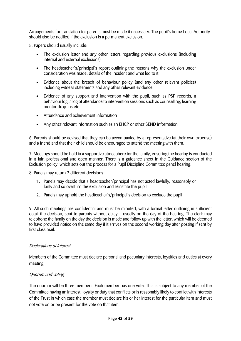Arrangements for translation for parents must be made if necessary. The pupil's home Local Authority should also be notified if the exclusion is a permanent exclusion.

5. Papers should usually include:

- The exclusion letter and any other letters regarding previous exclusions (including internal and external exclusions)
- The headteacher's/principal's report outlining the reasons why the exclusion under consideration was made, details of the incident and what led to it
- Evidence about the breach of behaviour policy (and any other relevant policies) including witness statements and any other relevant evidence
- Evidence of any support and intervention with the pupil, such as PSP records, a behaviour log, a log of attendance to intervention sessions such as counselling, learning mentor drop-ins etc
- Attendance and achievement information
- Any other relevant information such as an EHCP or other SEND information

6. Parents should be advised that they can be accompanied by a representative (at their own expense) and a friend and that their child should be encouraged to attend the meeting with them.

7. Meetings should be held in a supportive atmosphere for the family, ensuring the hearing is conducted in a fair, professional and open manner. There is a guidance sheet in the Guidance section of the Exclusion policy, which sets out the process for a Pupil Discipline Committee panel hearing.

8. Panels may return 2 different decisions:

- 1. Panels may decide that a headteacher/principal has not acted lawfully, reasonably or fairly and so overturn the exclusion and reinstate the pupil
- 2. Panels may uphold the headteacher's/principal's decision to exclude the pupil

9. All such meetings are confidential and must be minuted, with a formal letter outlining in sufficient detail the decision, sent to parents without delay – usually on the day of the hearing. The clerk may telephone the family on the day the decision is made and follow up with the letter, which will be deemed to have provided notice on the same day if it arrives on the second working day after posting if sent by first class mail

#### Declarations of interest

Members of the Committee must declare personal and pecuniary interests, loyalties and duties at every meeting.

#### Quorum and voting

The quorum will be three members. Each member has one vote. This is subject to any member of the Committee having an interest, loyalty or duty that conflicts or is reasonably likely to conflict with interests of the Trust in which case the member must declare his or her interest for the particular item and must not vote on or be present for the vote on that item.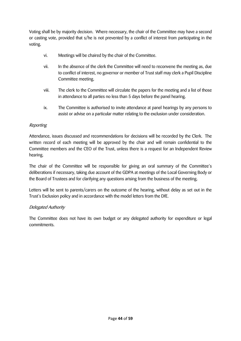Voting shall be by majority decision. Where necessary, the chair of the Committee may have a second or casting vote, provided that s/he is not prevented by a conflict of interest from participating in the voting.

- vi. Meetings will be chaired by the chair of the Committee.
- vii. In the absence of the clerk the Committee will need to reconvene the meeting as, due to conflict of interest, no governor or member of Trust staff may clerk a Pupil Discipline Committee meeting.
- viii. The clerk to the Committee will circulate the papers for the meeting and a list of those in attendance to all parties no less than 5 days before the panel hearing.
- ix. The Committee is authorised to invite attendance at panel hearings by any persons to assist or advise on a particular matter relating to the exclusion under consideration.

#### Reporting

Attendance, issues discussed and recommendations for decisions will be recorded by the Clerk. The written record of each meeting will be approved by the chair and will remain confidential to the Committee members and the CEO of the Trust, unless there is a request for an Independent Review hearing.

The chair of the Committee will be responsible for giving an oral summary of the Committee's deliberations if necessary, taking due account of the GDPA at meetings of the Local Governing Body or the Board of Trustees and for clarifying any questions arising from the business of the meeting.

Letters will be sent to parents/carers on the outcome of the hearing, without delay as set out in the Trust's Exclusion policy and in accordance with the model letters from the DfE.

#### Delegated Authority

The Committee does not have its own budget or any delegated authority for expenditure or legal commitments.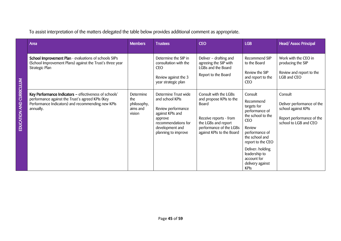To assist interpretation of the matters delegated the table below provides additional comment as appropriate.

| Area                                                                                                                                                                         | <b>Members</b>                                        | <b>Trustees</b>                                                                                                                                               | <b>CEO</b>                                                                                                                                                         | <b>LGB</b>                                                                                                                                                  | Head/Assoc Principal                                                                                               |
|------------------------------------------------------------------------------------------------------------------------------------------------------------------------------|-------------------------------------------------------|---------------------------------------------------------------------------------------------------------------------------------------------------------------|--------------------------------------------------------------------------------------------------------------------------------------------------------------------|-------------------------------------------------------------------------------------------------------------------------------------------------------------|--------------------------------------------------------------------------------------------------------------------|
| School Improvement Plan - evaluations of schools SIPs<br>(School Improvement Plans) against the Trust's three year<br>Strategic Plan                                         |                                                       | Determine the SIP in<br>consultation with the<br><b>CEO</b><br>Review against the 3                                                                           | Deliver - drafting and<br>agreeing the SIP with<br>LGBs and the Board<br>Report to the Board                                                                       | Recommend SIP<br>to the Board<br>Review the SIP<br>and report to the                                                                                        | Work with the CEO in<br>producing the SIP<br>Review and report to the<br>LGB and CEO                               |
|                                                                                                                                                                              |                                                       | year strategic plan                                                                                                                                           |                                                                                                                                                                    | <b>CEO</b>                                                                                                                                                  |                                                                                                                    |
| Key Performance Indicators - effectiveness of schools'<br>performance against the Trust's agreed KPIs (Key<br>Performance Indicators) and recommending new KPIs<br>annually. | Determine<br>the<br>philosophy,<br>aims and<br>vision | Determine Trust wide<br>and school KPIs<br>Review performance<br>against KPIs and<br>approve<br>recommendations for<br>development and<br>planning to improve | Consult with the LGBs<br>and propose KPIs to the<br>Board<br>Receive reports - from<br>the LGBs and report<br>performance of the LGBs<br>against KPIs to the Board | Consult<br>Recommend<br>targets for<br>performance of<br>the school to the<br><b>CEO</b><br>Review<br>performance of<br>the school and<br>report to the CEO | Consult<br>Deliver performance of the<br>school against KPIs<br>Report performance of the<br>school to LGB and CEO |
|                                                                                                                                                                              |                                                       |                                                                                                                                                               |                                                                                                                                                                    | Deliver: holding<br>leadership to<br>account for<br>delivery against<br><b>KPIs</b>                                                                         |                                                                                                                    |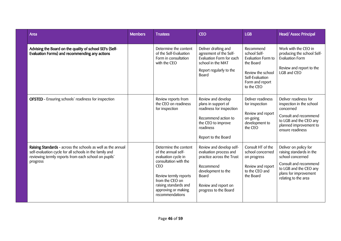| <b>Area</b>                                                                                                                                                                                 | <b>Members</b> | <b>Trustees</b>                                                                                                                                                                                                           | <b>CEO</b>                                                                                                                                                                   | <b>LGB</b>                                                                                                                            | Head/Assoc Principal                                                                                                                                                      |
|---------------------------------------------------------------------------------------------------------------------------------------------------------------------------------------------|----------------|---------------------------------------------------------------------------------------------------------------------------------------------------------------------------------------------------------------------------|------------------------------------------------------------------------------------------------------------------------------------------------------------------------------|---------------------------------------------------------------------------------------------------------------------------------------|---------------------------------------------------------------------------------------------------------------------------------------------------------------------------|
| Advising the Board on the quality of school SEFs (Self-<br>Evaluation Forms) and recommending any actions                                                                                   |                | Determine the content<br>of the Self-Evaluation<br>Form in consultation<br>with the CEO                                                                                                                                   | Deliver drafting and<br>agreement of the Self-<br>Evaluation Form for each<br>school in the MAT<br>Report regularly to the<br><b>Board</b>                                   | Recommend<br>school Self-<br>Evaluation Form to<br>the Board<br>Review the school<br>Self-Evaluation<br>Form and report<br>to the CEO | Work with the CEO in<br>producing the school Self-<br><b>Evaluation Form</b><br>Review and report to the<br>LGB and CEO                                                   |
| <b>OFSTED</b> - Ensuring schools' readiness for inspection                                                                                                                                  |                | Review reports from<br>the CEO on readiness<br>for inspection                                                                                                                                                             | Review and develop<br>plans in support of<br>readiness for inspection<br>Recommend action to<br>the CEO to improve<br>readiness<br>Report to the Board                       | Deliver readiness<br>for inspection<br>Review and report<br>on-going<br>development to<br>the CEO                                     | Deliver readiness for<br>inspection in the school<br>concerned<br>Consult and recommend<br>to LGB and the CEO any<br>planned improvement to<br>ensure readiness           |
| Raising Standards - across the schools as well as the annual<br>self-evaluation cycle for all schools in the family and<br>reviewing termly reports from each school on pupils'<br>progress |                | Determine the content<br>of the annual self-<br>evaluation cycle in<br>consultation with the<br><b>CEO</b><br>Review termly reports<br>from the CEO on<br>raising standards and<br>approving or making<br>recommendations | Review and develop self-<br>evaluation process and<br>practice across the Trust<br>Recommend<br>development to the<br>Board<br>Review and report on<br>progress to the Board | Consult HT of the<br>school concerned<br>on progress<br>Review and report<br>to the CEO and<br>the Board                              | Deliver on policy for<br>raising standards in the<br>school concerned<br>Consult and recommend<br>to LGB and the CEO any<br>plans for improvement<br>relating to the area |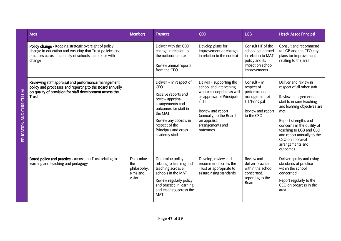| Area                                                                                                                                                                                         | <b>Members</b>                                        | <b>Trustees</b>                                                                                                                                                                                                              | <b>CEO</b>                                                                                                                                                                                                              | <b>LGB</b>                                                                                                        | Head/Assoc Principal                                                                                                                                                                                                                                                                                             |
|----------------------------------------------------------------------------------------------------------------------------------------------------------------------------------------------|-------------------------------------------------------|------------------------------------------------------------------------------------------------------------------------------------------------------------------------------------------------------------------------------|-------------------------------------------------------------------------------------------------------------------------------------------------------------------------------------------------------------------------|-------------------------------------------------------------------------------------------------------------------|------------------------------------------------------------------------------------------------------------------------------------------------------------------------------------------------------------------------------------------------------------------------------------------------------------------|
| Policy change - Keeping strategic oversight of policy<br>change in education and ensuring that Trust policies and<br>practices across the family of schools keep pace with<br>change         |                                                       | Deliver with the CEO<br>change in relation to<br>the national context<br>Review annual reports<br>from the CEO                                                                                                               | Develop plans for<br>improvement or change<br>in relation to the context                                                                                                                                                | Consult HT of the<br>school concerned<br>in relation to MAT<br>policy and its<br>impact on school<br>improvements | Consult and recommend<br>to LGB and the CEO any<br>plans for improvement<br>relating to the area                                                                                                                                                                                                                 |
| Reviewing staff appraisal and performance management<br>policy and processes and reporting to the Board annually<br>on quality of provision for staff development across the<br><b>Trust</b> |                                                       | Deliver - in respect of<br><b>CEO</b><br>Receive reports and<br>review appraisal<br>arrangements and<br>outcomes for staff in<br>the MAT<br>Review any appeals in<br>respect of the<br>Principals and cross<br>academy staff | Deliver - supporting the<br>school and intervening<br>where appropriate as well<br>as appraisal of Principals<br>$/$ HT<br>Review and report<br>(annually) to the Board<br>on appraisal<br>arrangements and<br>outcomes | Consult $-$ in<br>respect of<br>performance<br>management of<br>HT/Principal<br>Review and report<br>to the CEO   | Deliver and review in<br>respect of all other staff<br>Review management of<br>staff to ensure teaching<br>and learning objectives are<br>met<br>Report strengths and<br>concerns in the quality of<br>teaching to LGB and CEO<br>and report annually to the<br>CEO on appraisal<br>arrangements and<br>outcomes |
| Board policy and practice - across the Trust relating to<br>learning and teaching and pedagogy                                                                                               | Determine<br>the<br>philosophy,<br>aims and<br>vision | Determine policy<br>relating to learning and<br>teaching across all<br>schools in the MAT<br>Review regularly policy<br>and practice in learning<br>and teaching across the<br><b>MAT</b>                                    | Develop, review and<br>recommend across the<br>Trust as appropriate to<br>assure rising standards                                                                                                                       | Review and<br>deliver practice<br>within the school<br>concerned,<br>reporting to the<br><b>Board</b>             | Deliver quality and rising<br>standards of practice<br>within the school<br>concerned<br>Report regularly to the<br>CEO on progress in the<br>area                                                                                                                                                               |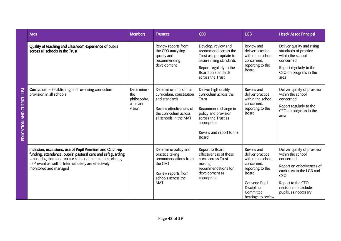|                         | Area                                                                                                                                                                                                                                                                     | <b>Members</b>                                          | <b>Trustees</b>                                                                                                                                  | <b>CEO</b>                                                                                                                                                                       | <b>LGB</b>                                                                                                                                                       | Head/Assoc Principal                                                                                                                                                                                        |
|-------------------------|--------------------------------------------------------------------------------------------------------------------------------------------------------------------------------------------------------------------------------------------------------------------------|---------------------------------------------------------|--------------------------------------------------------------------------------------------------------------------------------------------------|----------------------------------------------------------------------------------------------------------------------------------------------------------------------------------|------------------------------------------------------------------------------------------------------------------------------------------------------------------|-------------------------------------------------------------------------------------------------------------------------------------------------------------------------------------------------------------|
|                         | Quality of teaching and classroom experience of pupils<br>across all schools in the Trust                                                                                                                                                                                |                                                         | Review reports from<br>the CEO analysing<br>quality and<br>recommending<br>development                                                           | Develop, review and<br>recommend across the<br>Trust as appropriate to<br>assure rising standards<br>Report regularly to the<br>Board on standards<br>across the Trust           | Review and<br>deliver practice<br>within the school<br>concerned,<br>reporting to the<br>Board                                                                   | Deliver quality and rising<br>standards of practice<br>within the school<br>concerned<br>Report regularly to the<br>CEO on progress in the<br>area                                                          |
| EDUCATION AND CURRICULU | Curriculum - Establishing and reviewing curriculum<br>provision in all schools                                                                                                                                                                                           | Determine -<br>the<br>philosophy,<br>aims and<br>vision | Determine aims of the<br>curriculum, constitution<br>and standards<br>Review effectiveness of<br>the curriculum across<br>all schools in the MAT | Deliver high quality<br>curriculum across the<br>Trust<br>Recommend change in<br>policy and provision<br>across the Trust as<br>appropriate<br>Review and report to the<br>Board | Review and<br>deliver practice<br>within the school<br>concerned,<br>reporting to the<br>Board                                                                   | Deliver quality of provision<br>within the school<br>concerned<br>Report regularly to the<br>CEO on progress in the<br>area                                                                                 |
|                         | Inclusion, exclusions, use of Pupil Premium and Catch-up<br>funding, attendance, pupils' pastoral care and safeguarding<br>- ensuring that children are safe and that matters relating<br>to Prevent as well as Internet safety are effectively<br>monitored and managed |                                                         | Determine policy and<br>practice taking<br>recommendations from<br>the CEO<br>Review reports from<br>schools across the<br><b>MAT</b>            | Report to Board<br>effectiveness of these<br>areas across Trust<br>making<br>recommendations for<br>development as<br>appropriate                                                | Review and<br>deliver practice<br>within the school<br>concerned,<br>reporting to the<br>Board<br>Convene Pupil<br>Discipline<br>Committee<br>hearings to review | Deliver quality of provision<br>within the school<br>concerned<br>Report on effectiveness of<br>each area to the LGB and<br><b>CEO</b><br>Report to the CEO<br>decisions to exclude<br>pupils, as necessary |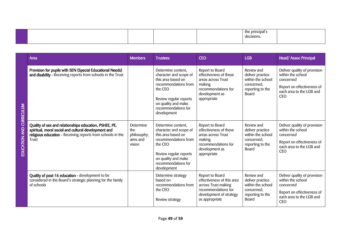|  |  |  |  | esions." |  |
|--|--|--|--|----------|--|
|--|--|--|--|----------|--|

|                                   | Area                                                                                                                                                                                   | <b>Members</b>                                        | <b>Trustees</b>                                                                                                                                                                              | <b>CEO</b>                                                                                                                               | <b>LGB</b>                                                                                     | <b>Head/Assoc Principal</b>                                                                                                            |
|-----------------------------------|----------------------------------------------------------------------------------------------------------------------------------------------------------------------------------------|-------------------------------------------------------|----------------------------------------------------------------------------------------------------------------------------------------------------------------------------------------------|------------------------------------------------------------------------------------------------------------------------------------------|------------------------------------------------------------------------------------------------|----------------------------------------------------------------------------------------------------------------------------------------|
| CURRICULUM                        | Provision for pupils with SEN (Special Educational Needs)<br>and disability - Receiving reports from schools in the Trust                                                              |                                                       | Determine content,<br>character and scope of<br>this area based on<br>recommendations from<br>the CEO<br>Review regular reports<br>on quality and make<br>recommendations for<br>development | Report to Board<br>effectiveness of these<br>areas across Trust<br>making<br>recommendations for<br>development as<br>appropriate        | Review and<br>deliver practice<br>within the school<br>concerned,<br>reporting to the<br>Board | Deliver quality of provision<br>within the school<br>concerned<br>Report on effectiveness of<br>each area to the LGB and<br><b>CEO</b> |
| $\frac{1}{2}$<br><b>EDUCATION</b> | Quality of sex and relationships education, PSHEE, PE,<br>spiritual, moral social and cultural development and<br>religious education - Receiving reports from schools in the<br>Trust | Determine<br>the<br>philosophy,<br>aims and<br>vision | Determine content,<br>character and scope of<br>this area based on<br>recommendations from<br>the CEO<br>Review regular reports<br>on quality and make<br>recommendations for<br>development | Report to Board<br>effectiveness of these<br>areas across Trust<br>making<br>recommendations for<br>development as<br>appropriate        | Review and<br>deliver practice<br>within the school<br>concerned,<br>reporting to the<br>Board | Deliver quality of provision<br>within the school<br>concerned<br>Report on effectiveness of<br>each area to the LGB and<br><b>CEO</b> |
|                                   | Quality of post-16 education - development to be<br>considered in the Board's strategic planning for the family<br>of schools                                                          |                                                       | Determine strategy<br>based on<br>recommendations from<br>the CEO<br>Review strategy                                                                                                         | Report to Board<br>effectiveness of this area<br>across Trust making<br>recommendations for<br>development of strategy<br>as appropriate | Review and<br>deliver practice<br>within the school<br>concerned,<br>reporting to the<br>Board | Deliver quality of provision<br>within the school<br>concerned<br>Report on effectiveness of<br>each area to the LGB and<br><b>CEO</b> |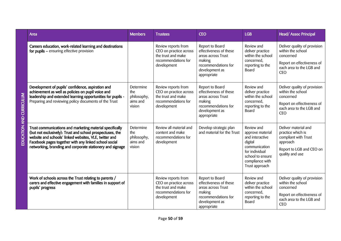|                       | Area                                                                                                                                                                                                                                                                                                  | <b>Members</b>                                        | <b>Trustees</b>                                                                                           | <b>CEO</b>                                                                                                                        | <b>LGB</b>                                                                                                                                               | <b>Head/Assoc Principal</b>                                                                                                            |
|-----------------------|-------------------------------------------------------------------------------------------------------------------------------------------------------------------------------------------------------------------------------------------------------------------------------------------------------|-------------------------------------------------------|-----------------------------------------------------------------------------------------------------------|-----------------------------------------------------------------------------------------------------------------------------------|----------------------------------------------------------------------------------------------------------------------------------------------------------|----------------------------------------------------------------------------------------------------------------------------------------|
|                       | Careers education, work-related learning and destinations<br>for pupils - ensuring effective provision                                                                                                                                                                                                |                                                       | Review reports from<br>CEO on practice across<br>the trust and make<br>recommendations for<br>development | Report to Board<br>effectiveness of these<br>areas across Trust<br>making<br>recommendations for<br>development as<br>appropriate | Review and<br>deliver practice<br>within the school<br>concerned,<br>reporting to the<br><b>Board</b>                                                    | Deliver quality of provision<br>within the school<br>concerned<br>Report on effectiveness of<br>each area to the LGB and<br><b>CEO</b> |
| <b>ALLUC</b><br>CURRI | Development of pupils' confidence, aspiration and<br>achievement as well as policies on pupil voice and<br>leadership and extended learning opportunities for pupils -<br>Preparing and reviewing policy documents of the Trust                                                                       | Determine<br>the<br>philosophy,<br>aims and<br>vision | Review reports from<br>CEO on practice across<br>the trust and make<br>recommendations for<br>development | Report to Board<br>effectiveness of these<br>areas across Trust<br>making<br>recommendations for<br>development as<br>appropriate | Review and<br>deliver practice<br>within the school<br>concerned,<br>reporting to the<br>Board                                                           | Deliver quality of provision<br>within the school<br>concerned<br>Report on effectiveness of<br>each area to the LGB and<br><b>CEO</b> |
| EDUCATION AND         | Trust communications and marketing material specifically<br>(but not exclusively): Trust and school prospectuses, the<br>website and schools' linked websites, VLE, twitter and<br>Facebook pages together with any linked school social<br>networking, branding and corporate stationery and signage | Determine<br>the<br>philosophy,<br>aims and<br>vision | Review all material and<br>content and make<br>recommendations for<br>development                         | Develop strategic plan<br>and material for the Trust                                                                              | Review and<br>approve material<br>and interactive<br>digital<br>communication<br>for individual<br>school to ensure<br>compliance with<br>Trust approach | Deliver material and<br>practice which is<br>compliant with Trust<br>approach<br>Report to LGB and CEO on<br>quality and use           |
|                       | Work of schools across the Trust relating to parents /<br>carers and effective engagement with families in support of<br>pupils' progress                                                                                                                                                             |                                                       | Review reports from<br>CEO on practice across<br>the trust and make<br>recommendations for<br>development | Report to Board<br>effectiveness of these<br>areas across Trust<br>making<br>recommendations for<br>development as<br>appropriate | Review and<br>deliver practice<br>within the school<br>concerned,<br>reporting to the<br>Board                                                           | Deliver quality of provision<br>within the school<br>concerned<br>Report on effectiveness of<br>each area to the LGB and<br><b>CEO</b> |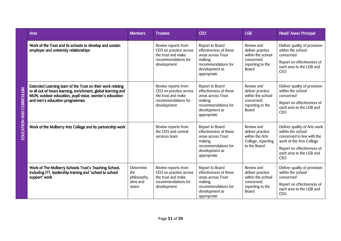| Area                                                                                                                                                                                                                    | <b>Members</b>                                        | <b>Trustees</b>                                                                                           | <b>CEO</b>                                                                                                                        | <b>LGB</b>                                                                                            | Head/Assoc Principal                                                                                                                                                                |
|-------------------------------------------------------------------------------------------------------------------------------------------------------------------------------------------------------------------------|-------------------------------------------------------|-----------------------------------------------------------------------------------------------------------|-----------------------------------------------------------------------------------------------------------------------------------|-------------------------------------------------------------------------------------------------------|-------------------------------------------------------------------------------------------------------------------------------------------------------------------------------------|
| Work of the Trust and its schools to develop and sustain<br>employer and university relationships                                                                                                                       |                                                       | Review reports from<br>CEO on practice across<br>the trust and make<br>recommendations for<br>development | Report to Board<br>effectiveness of these<br>areas across Trust<br>making<br>recommendations for<br>development as<br>appropriate | Review and<br>deliver practice<br>within the school<br>concerned,<br>reporting to the<br>Board        | Deliver quality of provision<br>within the school<br>concerned<br>Report on effectiveness of<br>each area to the LGB and<br><b>CEO</b>                                              |
| Extended Learning team of the Trust on their work relating<br>to all out of hours learning, enrichment, global learning and<br>MUN, outdoor education, pupil voice, women's education<br>and men's education programmes |                                                       | Review reports from<br>CEO on practice across<br>the trust and make<br>recommendations for<br>development | Report to Board<br>effectiveness of these<br>areas across Trust<br>making<br>recommendations for<br>development as<br>appropriate | Review and<br>deliver practice<br>within the school<br>concerned,<br>reporting to the<br><b>Board</b> | Deliver quality of provision<br>within the school<br>concerned<br>Report on effectiveness of<br>each area to the LGB and<br><b>CEO</b>                                              |
| Work of the Mulberry Arts College and its partnership work                                                                                                                                                              |                                                       | Review reports from<br>the CEO and central<br>services team                                               | Report to Board<br>effectiveness of these<br>areas across Trust<br>making<br>recommendations for<br>development as<br>appropriate | Review and<br>deliver practice<br>within the Arts<br>College, reporting<br>to the Board               | Deliver quality of Arts work<br>within the school<br>concerned in line with the<br>work of the Arts College<br>Report on effectiveness of<br>each area to the LGB and<br><b>CEO</b> |
| Work of The Mulberry Schools Trust's Teaching School,<br>including ITT, leadership training and 'school to school<br>support' work                                                                                      | Determine<br>the<br>philosophy,<br>aims and<br>vision | Review reports from<br>CEO on practice across<br>the trust and make<br>recommendations for<br>development | Report to Board<br>effectiveness of these<br>areas across Trust<br>making<br>recommendations for<br>development as<br>appropriate | Review and<br>deliver practice<br>within the school<br>concerned,<br>reporting to the<br>Board        | Deliver quality of provision<br>within the school<br>concerned<br>Report on effectiveness of<br>each area to the LGB and<br><b>CEO</b>                                              |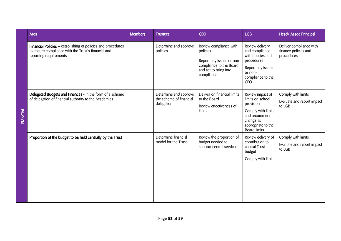|                | Area                                                                                                                                          | <b>Members</b> | <b>Trustees</b>                                                | <b>CEO</b>                                                                                                                        | <b>LGB</b>                                                                                                                                         | Head/Assoc Principal                                          |
|----------------|-----------------------------------------------------------------------------------------------------------------------------------------------|----------------|----------------------------------------------------------------|-----------------------------------------------------------------------------------------------------------------------------------|----------------------------------------------------------------------------------------------------------------------------------------------------|---------------------------------------------------------------|
|                | Financial Policies - establishing of policies and procedures<br>to ensure compliance with the Trust's financial and<br>reporting requirements |                | Determine and approve<br>policies                              | Review compliance with<br>policies<br>Report any issues or non-<br>compliance to the Board<br>and act to bring into<br>compliance | Review delivery<br>and compliance<br>with policies and<br>procedures<br>Report any issues<br>or non-<br>compliance to the<br><b>CEO</b>            | Deliver compliance with<br>finance policies and<br>procedures |
| <b>TANCIAL</b> | Delegated Budgets and Finances - in the form of a scheme<br>of delegation of financial authority to the Academies                             |                | Determine and approve<br>the scheme of financial<br>delegation | Deliver on financial limits<br>to the Board<br>Review effectiveness of<br>limits                                                  | Review impact of<br>limits on school<br>provision<br>Comply with limits<br>and recommend<br>change as<br>appropriate to the<br><b>Board limits</b> | Comply with limits<br>Evaluate and report impact<br>to LGB    |
|                | Proportion of the budget to be held centrally by the Trust                                                                                    |                | Determine financial<br>model for the Trust                     | Review the proportion of<br>budget needed to<br>support central services                                                          | Review delivery of<br>contribution to<br>central Trust<br>budget<br>Comply with limits                                                             | Comply with limits<br>Evaluate and report impact<br>to LGB    |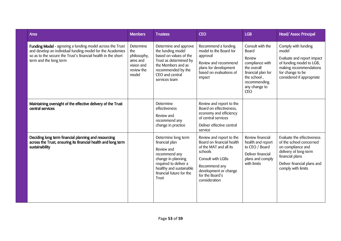| Area                                                                                                                                                                                                              | <b>Members</b>                                                                   | <b>Trustees</b>                                                                                                                                                                     | <b>CEO</b>                                                                                                                                                                                    | <b>LGB</b>                                                                                                                                                       | Head/Assoc Principal                                                                                                                                                        |
|-------------------------------------------------------------------------------------------------------------------------------------------------------------------------------------------------------------------|----------------------------------------------------------------------------------|-------------------------------------------------------------------------------------------------------------------------------------------------------------------------------------|-----------------------------------------------------------------------------------------------------------------------------------------------------------------------------------------------|------------------------------------------------------------------------------------------------------------------------------------------------------------------|-----------------------------------------------------------------------------------------------------------------------------------------------------------------------------|
| Funding Model - agreeing a funding model across the Trust<br>and develop an individual funding model for the Academies<br>so as to the secure the Trust's financial health in the short<br>term and the long term | Determine<br>the<br>philosophy,<br>aims and<br>vision and<br>review the<br>model | Determine and approve<br>the funding model<br>based on values of the<br>Trust as determined by<br>the Members and as<br>recommended by the<br>CEO and central<br>services team      | Recommend a funding<br>model to the Board for<br>approval<br>Review and recommend<br>plans for development<br>based on evaluations of<br>impact                                               | Consult with the<br><b>Board</b><br>Review<br>compliance with<br>the overall<br>financial plan for<br>the school,<br>recommending<br>any change to<br><b>CEO</b> | Comply with funding<br>model<br>Evaluate and report impact<br>of funding model to LGB,<br>making recommendations<br>for change to be<br>considered if appropriate           |
| Maintaining oversight of the effective delivery of the Trust<br>central services                                                                                                                                  |                                                                                  | Determine<br>effectiveness<br>Review and<br>recommend any<br>change in practice                                                                                                     | Review and report to the<br>Board on effectiveness,<br>economy and efficiency<br>of central services<br>Deliver effective central<br>service                                                  |                                                                                                                                                                  |                                                                                                                                                                             |
| Deciding long term financial planning and resourcing<br>across the Trust, ensuring its financial health and long term<br>sustainability                                                                           |                                                                                  | Determine long term<br>financial plan<br>Review and<br>recommend any<br>change in planning<br>required to deliver a<br>healthy and sustainable<br>financial future for the<br>Trust | Review and report to the<br>Board on financial health<br>of the MAT and all its<br>schools<br>Consult with LGBs<br>Recommend any<br>development or change<br>for the Board's<br>consideration | Review financial<br>health and report<br>to CEO / Board<br>Deliver financial<br>plans and comply<br>with limits                                                  | Evaluate the effectiveness<br>of the school concerned<br>on compliance and<br>delivery of long-term<br>financial plans<br>Deliver financial plans and<br>comply with limits |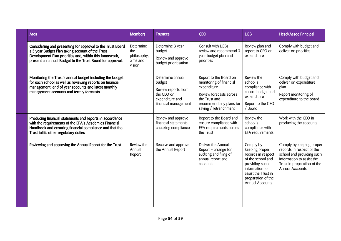| <b>Area</b>                                                                                                                                                                                                                            | <b>Members</b>                                        | <b>Trustees</b>                                                                                            | <b>CEO</b>                                                                                                                                                       | <b>LGB</b>                                                                                                                                                                 | <b>Head/Assoc Principal</b>                                                                                                                                       |
|----------------------------------------------------------------------------------------------------------------------------------------------------------------------------------------------------------------------------------------|-------------------------------------------------------|------------------------------------------------------------------------------------------------------------|------------------------------------------------------------------------------------------------------------------------------------------------------------------|----------------------------------------------------------------------------------------------------------------------------------------------------------------------------|-------------------------------------------------------------------------------------------------------------------------------------------------------------------|
| Considering and presenting for approval to the Trust Board<br>a 3 year Budget Plan taking account of the Trust<br>Development Plan priorities and, within this framework,<br>present an annual Budget to the Trust Board for approval. | Determine<br>the<br>philosophy,<br>aims and<br>vision | Determine 3 year<br>budget<br>Review and approve<br>budget prioritisation                                  | Consult with LGBs,<br>review and recommend 3<br>year budget plan and<br>priorities                                                                               | Review plan and<br>report to CEO on<br>expenditure                                                                                                                         | Comply with budget and<br>deliver on priorities                                                                                                                   |
| Monitoring the Trust's annual budget including the budget<br>for each school as well as reviewing reports on financial<br>management, end of year accounts and latest monthly<br>management accounts and termly forecasts              |                                                       | Determine annual<br>budget<br>Review reports from<br>the CEO on<br>expenditure and<br>financial management | Report to the Board on<br>monitoring of financial<br>expenditure<br>Review forecasts across<br>the Trust and<br>recommend any plans for<br>saving / retrenchment | Review the<br>school's<br>compliance with<br>annual budget and<br>expenditure<br>Report to the CEO<br>/ Board                                                              | Comply with budget and<br>deliver on expenditure<br>plan<br>Report monitoring of<br>expenditure to the board                                                      |
| Producing financial statements and reports in accordance<br>with the requirements of the EFA's Academies Financial<br>Handbook and ensuring financial compliance and that the<br>Trust fulfils other regulatory duties                 |                                                       | Review and approve<br>financial statements,<br>checking compliance                                         | Report to the Board and<br>ensure compliance with<br>EFA requirements across<br>the Trust                                                                        | Review the<br>school's<br>compliance with<br>EFA requirements                                                                                                              | Work with the CEO in<br>producing the accounts                                                                                                                    |
| Reviewing and approving the Annual Report for the Trust                                                                                                                                                                                | Review the<br>Annual<br>Report                        | Receive and approve<br>the Annual Report                                                                   | Deliver the Annual<br>Report - arrange for<br>auditing and filing of<br>annual report and<br>accounts                                                            | Comply by<br>keeping proper<br>records in respect<br>of the school and<br>providing such<br>information to<br>assist the Trust in<br>preparation of the<br>Annual Accounts | Comply by keeping proper<br>records in respect of the<br>school and providing such<br>information to assist the<br>Trust in preparation of the<br>Annual Accounts |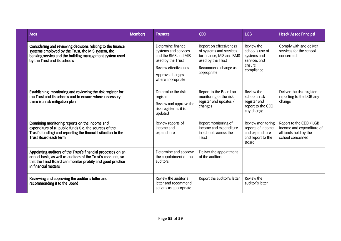| Area                                                                                                                                                                                                                | <b>Members</b> | <b>Trustees</b>                                                                                                                                       | <b>CEO</b>                                                                                                                                | <b>LGB</b>                                                                                     | Head/Assoc Principal                                                                              |
|---------------------------------------------------------------------------------------------------------------------------------------------------------------------------------------------------------------------|----------------|-------------------------------------------------------------------------------------------------------------------------------------------------------|-------------------------------------------------------------------------------------------------------------------------------------------|------------------------------------------------------------------------------------------------|---------------------------------------------------------------------------------------------------|
| Considering and reviewing decisions relating to the finance<br>systems employed by the Trust, the MIS system, the<br>banking service and the building management system used<br>by the Trust and its schools        |                | Determine finance<br>systems and services<br>and the BMS and MIS<br>used by the Trust<br>Review effectiveness<br>Approve changes<br>where appropriate | Report on effectiveness<br>of systems and services<br>for finance, MIS and BMS<br>used by the Trust<br>Recommend change as<br>appropriate | Review the<br>school's use of<br>systems and<br>services and<br>ensure<br>compliance           | Comply with and deliver<br>services for the school<br>concerned                                   |
| Establishing, monitoring and reviewing the risk register for<br>the Trust and its schools and to ensure where necessary<br>there is a risk mitigation plan                                                          |                | Determine the risk<br>register<br>Review and approve the<br>risk register as it is<br>updated                                                         | Report to the Board on<br>monitoring of the risk<br>register and updates /<br>changes                                                     | Review the<br>school's risk<br>register and<br>report to the CEO<br>any change                 | Deliver the risk register,<br>reporting to the LGB any<br>change                                  |
| Examining monitoring reports on the income and<br>expenditure of all public funds (i.e. the sources of the<br>Trust's funding) and reporting the financial situation to the<br><b>Trust Board each term</b>         |                | Review reports of<br>income and<br>expenditure                                                                                                        | Report monitoring of<br>income and expenditure<br>in schools across the<br>Trust                                                          | Review monitoring<br>reports of income<br>and expenditure<br>and report to the<br><b>Board</b> | Report to the CEO / LGB<br>income and expenditure of<br>all funds held by the<br>school concerned |
| Appointing auditors of the Trust's financial processes on an<br>annual basis, as well as auditors of the Trust's accounts, so<br>that the Trust Board can monitor probity and good practice<br>in financial matters |                | Determine and approve<br>the appointment of the<br>auditors                                                                                           | Deliver the appointment<br>of the auditors                                                                                                |                                                                                                |                                                                                                   |
| Reviewing and approving the auditor's letter and<br>recommending it to the Board                                                                                                                                    |                | Review the auditor's<br>letter and recommend<br>actions as appropriate                                                                                | Report the auditor's letter                                                                                                               | Review the<br>auditor's letter                                                                 |                                                                                                   |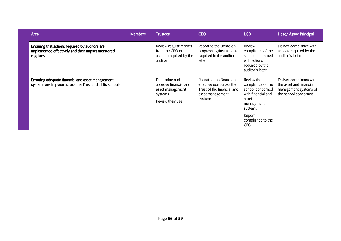| <b>Area</b>                                                                                                       | <b>Members</b> | <b>Trustees</b>                                                                           | <b>CEO</b>                                                                                                      | <b>LGB</b>                                                                                                                                               | Head/Assoc Principal                                                                                |
|-------------------------------------------------------------------------------------------------------------------|----------------|-------------------------------------------------------------------------------------------|-----------------------------------------------------------------------------------------------------------------|----------------------------------------------------------------------------------------------------------------------------------------------------------|-----------------------------------------------------------------------------------------------------|
| Ensuring that actions required by auditors are<br>implemented effectively and their impact monitored<br>regularly |                | Review regular reports<br>from the CEO on<br>actions required by the<br>auditor           | Report to the Board on<br>progress against actions<br>required in the auditor's<br>letter                       | Review<br>compliance of the<br>school concerned<br>with actions<br>required by the<br>auditor's letter                                                   | Deliver compliance with<br>actions required by the<br>auditor's letter                              |
| Ensuring adequate financial and asset management<br>systems are in place across the Trust and all its schools     |                | Determine and<br>approve financial and<br>asset management<br>systems<br>Review their use | Report to the Board on<br>effective use across the<br>Trust of the financial and<br>asset management<br>systems | Review the<br>compliance of the<br>school concerned<br>with financial and<br>asset<br>management<br>systems<br>Report<br>compliance to the<br><b>CEO</b> | Deliver compliance with<br>the asset and financial<br>management systems of<br>the school concerned |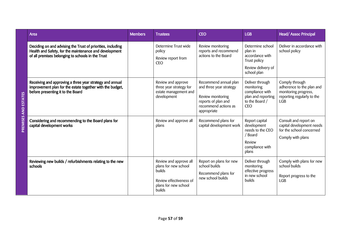|                      | Area                                                                                                                                                                       | <b>Members</b> | <b>Trustees</b>                                                                                                       | <b>CEO</b>                                                                                                                          | <b>LGB</b>                                                                                          | Head/Assoc Principal                                                                                            |
|----------------------|----------------------------------------------------------------------------------------------------------------------------------------------------------------------------|----------------|-----------------------------------------------------------------------------------------------------------------------|-------------------------------------------------------------------------------------------------------------------------------------|-----------------------------------------------------------------------------------------------------|-----------------------------------------------------------------------------------------------------------------|
|                      | Deciding on and advising the Trust of priorities, including<br>Health and Safety, for the maintenance and development<br>of all premises belonging to schools in the Trust |                | Determine Trust wide<br>policy<br>Review report from<br><b>CEO</b>                                                    | Review monitoring<br>reports and recommend<br>actions to the Board                                                                  | Determine school<br>plan in<br>accordance with<br>Trust policy<br>Review delivery of<br>school plan | Deliver in accordance with<br>school policy                                                                     |
| ESTAT<br>–<br>Q<br>Q | Receiving and approving a three year strategy and annual<br>improvement plan for the estate together with the budget,<br>before presenting it to the Board                 |                | Review and approve<br>three year strategy for<br>estate management and<br>development                                 | Recommend annual plan<br>and three year strategy<br>Review monitoring<br>reports of plan and<br>recommend actions as<br>appropriate | Deliver through<br>monitoring<br>compliance with<br>plan and reporting<br>to the Board /<br>CEO     | Comply through<br>adherence to the plan and<br>monitoring progress,<br>reporting regularly to the<br><b>LGB</b> |
| <b>PREMIS</b>        | Considering and recommending to the Board plans for<br>capital development works                                                                                           |                | Review and approve all<br>plans                                                                                       | Recommend plans for<br>capital development work                                                                                     | Report capital<br>development<br>needs to the CEO<br>/ Board<br>Review<br>compliance with<br>plans  | Consult and report on<br>capital development needs<br>for the school concerned<br>Comply with plans             |
|                      | Reviewing new builds / refurbishments relating to the new<br>schools                                                                                                       |                | Review and approve all<br>plans for new school<br>builds<br>Review effectiveness of<br>plans for new school<br>builds | Report on plans for new<br>school builds<br>Recommend plans for<br>new school builds                                                | Deliver through<br>monitoring<br>effective progress<br>in new school<br><b>builds</b>               | Comply with plans for new<br>school builds<br>Report progress to the<br><b>LGB</b>                              |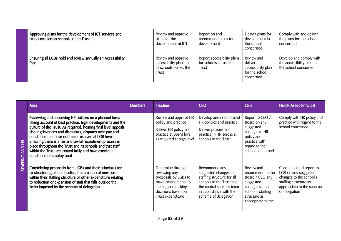| Approving plans for the development of ICT services and<br>resources across schools in the Trust | Review and approve<br>plans for the<br>development of ICT                        | Report on and<br>recommend plans for<br>development           | Deliver plans for<br>development in<br>the school<br>concerned             | Comply with and deliver<br>the plans for the school<br>concerned              |
|--------------------------------------------------------------------------------------------------|----------------------------------------------------------------------------------|---------------------------------------------------------------|----------------------------------------------------------------------------|-------------------------------------------------------------------------------|
| Ensuring all LGBs hold and review annually an Accessibility<br><b>Plan</b>                       | Review and approve<br>accessibility plans for<br>all schools across the<br>Trust | Report accessibility plans<br>for schools across the<br>Trust | Review and<br>deliver<br>accessibility plan<br>for the school<br>concerned | Develop and comply with<br>the accessibility plan for<br>the school concerned |

| $\widetilde{H}$<br>2<br>Z<br><b>STAFFING</b> | Area                                                                                                                                                                                                                                                                                                                                                                                                                                                                                                                       | <b>Members</b> | <b>Trustees</b>                                                                                                                                    | <b>CEO</b>                                                                                                                                                                     | <b>LGB</b>                                                                                                                                  | Head/Assoc Principal                                                                                                                               |
|----------------------------------------------|----------------------------------------------------------------------------------------------------------------------------------------------------------------------------------------------------------------------------------------------------------------------------------------------------------------------------------------------------------------------------------------------------------------------------------------------------------------------------------------------------------------------------|----------------|----------------------------------------------------------------------------------------------------------------------------------------------------|--------------------------------------------------------------------------------------------------------------------------------------------------------------------------------|---------------------------------------------------------------------------------------------------------------------------------------------|----------------------------------------------------------------------------------------------------------------------------------------------------|
|                                              | Reviewing and approving HR policies on a planned basis<br>taking account of best practice, legal developments and the<br>culture of the Trust. As required, hearing final level appeals<br>about grievances and dismissals, disputes over pay and<br>conditions that have not been resolved at LGB level.<br>Ensuring there is a fair and lawful recruitment process in<br>place throughout the Trust and its schools and that staff<br>within the Trust are treated fairly and have excellent<br>conditions of employment |                | Review and approve HR<br>policy and practice<br>Deliver HR policy and<br>practice at Board level<br>as required at high level                      | Develop and recommend<br>HR policies and practice<br>Deliver policies and<br>practice in HR across all<br>schools in the Trust                                                 | Report to CEO /<br>Board on any<br>suggested<br>changes to HR<br>policy and<br>practice with<br>regard to the<br>school concerned           | Comply with HR policy and<br>practice with regard to the<br>school concerned                                                                       |
|                                              | Considering proposals from LGBs and their principals for<br>re-structuring of staff bodies, the creation of new posts<br>within their staffing structure or other expenditure relating<br>to reduction or expansion of staff that falls outside the<br>limits imposed by the scheme of delegation                                                                                                                                                                                                                          |                | Determine through<br>reviewing any<br>proposals by LGBs to<br>make amendments to<br>staffing and making<br>decisions based on<br>Trust expenditure | Recommend any<br>suggested changes in<br>staffing structure for all<br>schools in the Trust and<br>the central services team<br>in accordance with the<br>scheme of delegation | Review and<br>recommend to the<br>Board / CEO any<br>suggested<br>changes to the<br>school's staffing<br>structure as<br>appropriate to the | Consult on and report to<br>LGB on any suggested<br>changes to the school's<br>staffing structure as<br>appropriate to the scheme<br>of delegation |